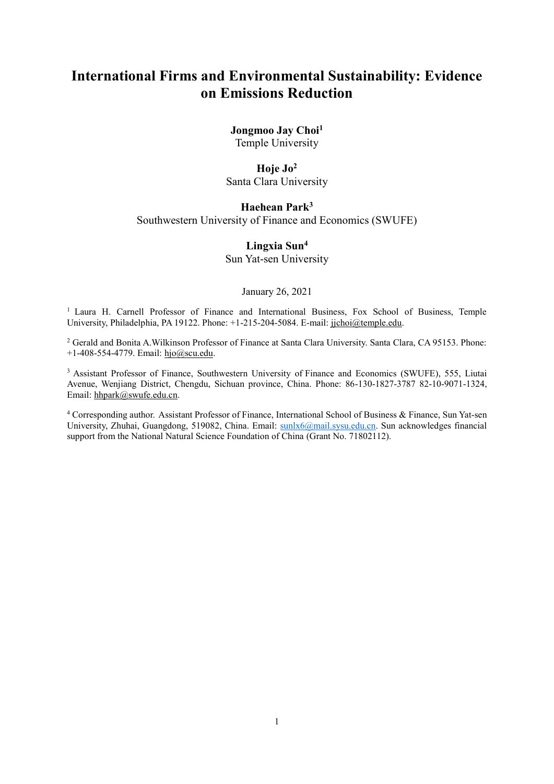# **International Firms and Environmental Sustainability: Evidence on Emissions Reduction**

# **Jongmoo Jay Choi<sup>1</sup>**

Temple University

#### **Hoje Jo<sup>2</sup>**

Santa Clara University

# **Haehean Park<sup>3</sup>**

Southwestern University of Finance and Economics (SWUFE)

#### **Lingxia Sun<sup>4</sup>**

Sun Yat-sen University

January 26, 2021

<sup>1</sup> Laura H. Carnell Professor of Finance and International Business, Fox School of Business, Temple University, Philadelphia, PA 19122. Phone: +1-215-204-5084. E-mail: [jjchoi@temple.edu.](mailto:jjchoi@temple.edu)

<sup>2</sup> Gerald and Bonita A.Wilkinson Professor of Finance at Santa Clara University. Santa Clara, CA 95153. Phone: +1-408-554-4779. Email: [hjo@scu.edu.](mailto:hjo@scu.edu)

<sup>3</sup> Assistant Professor of Finance, Southwestern University of Finance and Economics (SWUFE), 555, Liutai Avenue, Wenjiang District, Chengdu, Sichuan province, China. Phone: 86-130-1827-3787 82-10-9071-1324, Email: [hhpark@swufe.edu.cn.](mailto:hhpark@swufe.edu.cn)

<sup>4</sup> Corresponding author. Assistant Professor of Finance, International School of Business & Finance, Sun Yat-sen University, Zhuhai, Guangdong, 519082, China. Email: [sunlx6@mail.sysu.edu.cn.](mailto:sunlx6@mail.sysu.edu.cn) Sun acknowledges financial support from the National Natural Science Foundation of China (Grant No. 71802112).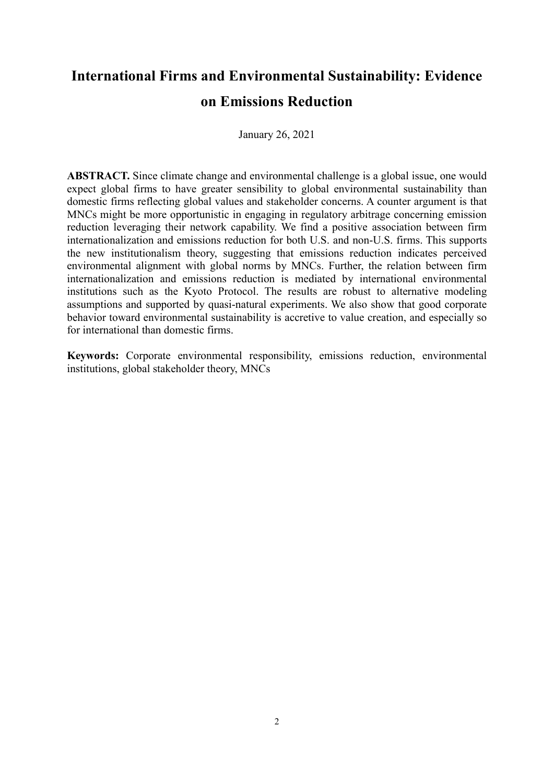# **International Firms and Environmental Sustainability: Evidence on Emissions Reduction**

January 26, 2021

**ABSTRACT.** Since climate change and environmental challenge is a global issue, one would expect global firms to have greater sensibility to global environmental sustainability than domestic firms reflecting global values and stakeholder concerns. A counter argument is that MNCs might be more opportunistic in engaging in regulatory arbitrage concerning emission reduction leveraging their network capability. We find a positive association between firm internationalization and emissions reduction for both U.S. and non-U.S. firms. This supports the new institutionalism theory, suggesting that emissions reduction indicates perceived environmental alignment with global norms by MNCs. Further, the relation between firm internationalization and emissions reduction is mediated by international environmental institutions such as the Kyoto Protocol. The results are robust to alternative modeling assumptions and supported by quasi-natural experiments. We also show that good corporate behavior toward environmental sustainability is accretive to value creation, and especially so for international than domestic firms.

**Keywords:** Corporate environmental responsibility, emissions reduction, environmental institutions, global stakeholder theory, MNCs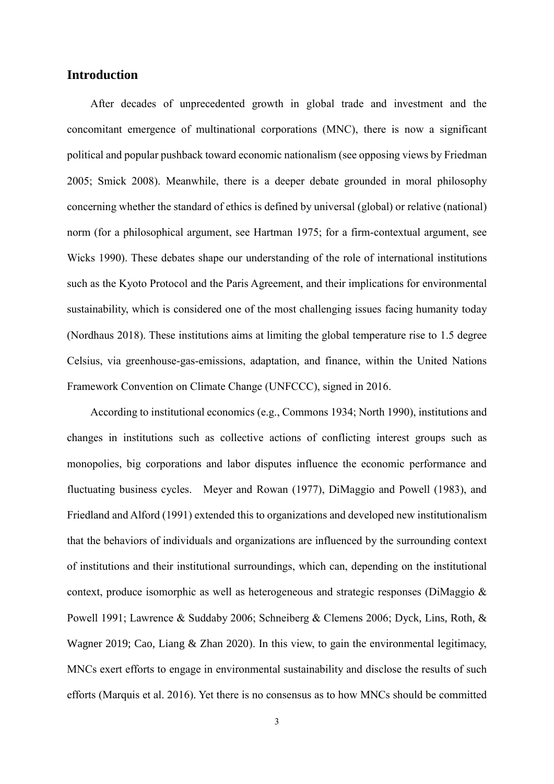# **Introduction**

After decades of unprecedented growth in global trade and investment and the concomitant emergence of multinational corporations (MNC), there is now a significant political and popular pushback toward economic nationalism (see opposing views by Friedman 2005; Smick 2008). Meanwhile, there is a deeper debate grounded in moral philosophy concerning whether the standard of ethics is defined by universal (global) or relative (national) norm (for a philosophical argument, see Hartman 1975; for a firm-contextual argument, see Wicks 1990). These debates shape our understanding of the role of international institutions such as the Kyoto Protocol and the Paris Agreement, and their implications for environmental sustainability, which is considered one of the most challenging issues facing humanity today (Nordhaus 2018). These institutions aims at limiting the global temperature rise to 1.5 degree Celsius, via greenhouse-gas-emissions, adaptation, and finance, within the United Nations Framework Convention on Climate Change (UNFCCC), signed in 2016.

According to institutional economics (e.g., Commons 1934; North 1990), institutions and changes in institutions such as collective actions of conflicting interest groups such as monopolies, big corporations and labor disputes influence the economic performance and fluctuating business cycles. Meyer and Rowan (1977), DiMaggio and Powell (1983), and Friedland and Alford (1991) extended this to organizations and developed new institutionalism that the behaviors of individuals and organizations are influenced by the surrounding context of institutions and their institutional surroundings, which can, depending on the institutional context, produce isomorphic as well as heterogeneous and strategic responses (DiMaggio & Powell 1991; Lawrence & Suddaby 2006; Schneiberg & Clemens 2006; Dyck, Lins, Roth, & Wagner 2019; Cao, Liang & Zhan 2020). In this view, to gain the environmental legitimacy, MNCs exert efforts to engage in environmental sustainability and disclose the results of such efforts (Marquis et al. 2016). Yet there is no consensus as to how MNCs should be committed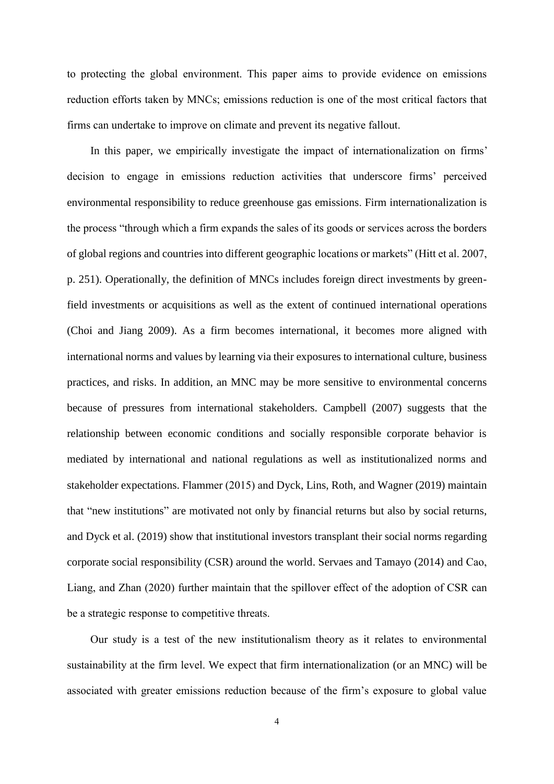to protecting the global environment. This paper aims to provide evidence on emissions reduction efforts taken by MNCs; emissions reduction is one of the most critical factors that firms can undertake to improve on climate and prevent its negative fallout.

In this paper, we empirically investigate the impact of internationalization on firms' decision to engage in emissions reduction activities that underscore firms' perceived environmental responsibility to reduce greenhouse gas emissions. Firm internationalization is the process "through which a firm expands the sales of its goods or services across the borders of global regions and countries into different geographic locations or markets" (Hitt et al. 2007, p. 251). Operationally, the definition of MNCs includes foreign direct investments by greenfield investments or acquisitions as well as the extent of continued international operations (Choi and Jiang 2009). As a firm becomes international, it becomes more aligned with international norms and values by learning via their exposures to international culture, business practices, and risks. In addition, an MNC may be more sensitive to environmental concerns because of pressures from international stakeholders. Campbell (2007) suggests that the relationship between economic conditions and socially responsible corporate behavior is mediated by international and national regulations as well as institutionalized norms and stakeholder expectations. Flammer (2015) and Dyck, Lins, Roth, and Wagner (2019) maintain that "new institutions" are motivated not only by financial returns but also by social returns, and Dyck et al. (2019) show that institutional investors transplant their social norms regarding corporate social responsibility (CSR) around the world. Servaes and Tamayo (2014) and Cao, Liang, and Zhan (2020) further maintain that the spillover effect of the adoption of CSR can be a strategic response to competitive threats.

Our study is a test of the new institutionalism theory as it relates to environmental sustainability at the firm level. We expect that firm internationalization (or an MNC) will be associated with greater emissions reduction because of the firm's exposure to global value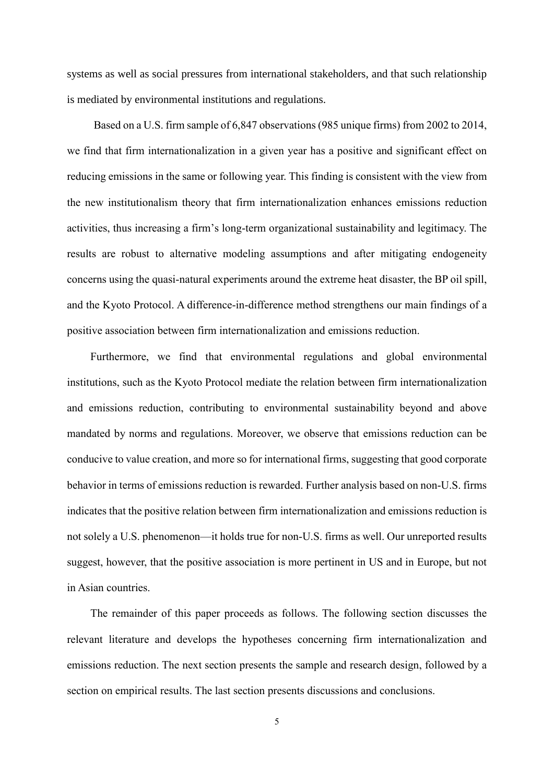systems as well as social pressures from international stakeholders, and that such relationship is mediated by environmental institutions and regulations.

Based on a U.S. firm sample of 6,847 observations (985 unique firms) from 2002 to 2014, we find that firm internationalization in a given year has a positive and significant effect on reducing emissions in the same or following year. This finding is consistent with the view from the new institutionalism theory that firm internationalization enhances emissions reduction activities, thus increasing a firm's long-term organizational sustainability and legitimacy. The results are robust to alternative modeling assumptions and after mitigating endogeneity concerns using the quasi-natural experiments around the extreme heat disaster, the BP oil spill, and the Kyoto Protocol. A difference-in-difference method strengthens our main findings of a positive association between firm internationalization and emissions reduction.

Furthermore, we find that environmental regulations and global environmental institutions, such as the Kyoto Protocol mediate the relation between firm internationalization and emissions reduction, contributing to environmental sustainability beyond and above mandated by norms and regulations. Moreover, we observe that emissions reduction can be conducive to value creation, and more so for international firms, suggesting that good corporate behavior in terms of emissions reduction is rewarded. Further analysis based on non-U.S. firms indicates that the positive relation between firm internationalization and emissions reduction is not solely a U.S. phenomenon—it holds true for non-U.S. firms as well. Our unreported results suggest, however, that the positive association is more pertinent in US and in Europe, but not in Asian countries.

The remainder of this paper proceeds as follows. The following section discusses the relevant literature and develops the hypotheses concerning firm internationalization and emissions reduction. The next section presents the sample and research design, followed by a section on empirical results. The last section presents discussions and conclusions.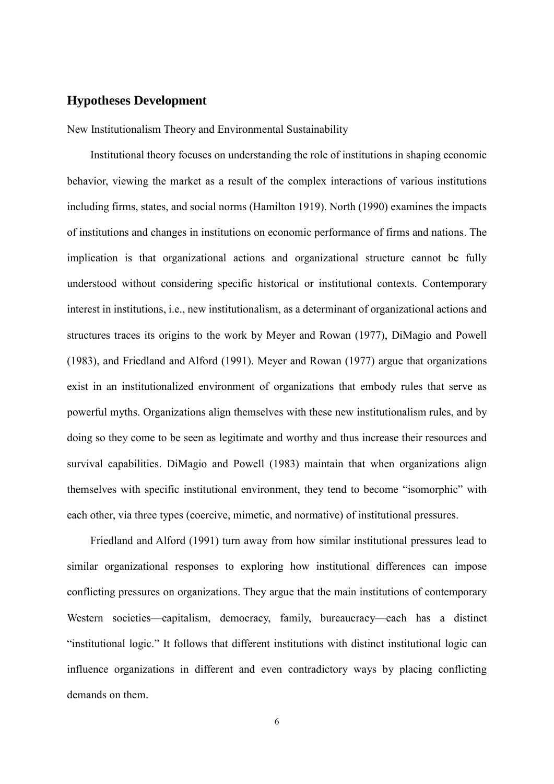# **Hypotheses Development**

New Institutionalism Theory and Environmental Sustainability

Institutional theory focuses on understanding the role of institutions in shaping economic behavior, viewing the market as a result of the complex interactions of various institutions including firms, states, and social norms (Hamilton 1919). North (1990) examines the impacts of institutions and changes in institutions on economic performance of firms and nations. The implication is that organizational actions and organizational structure cannot be fully understood without considering specific historical or institutional contexts. Contemporary interest in institutions, i.e., new institutionalism, as a determinant of organizational actions and structures traces its origins to the work by Meyer and Rowan (1977), DiMagio and Powell (1983), and Friedland and Alford (1991). Meyer and Rowan (1977) argue that organizations exist in an institutionalized environment of organizations that embody rules that serve as powerful myths. Organizations align themselves with these new institutionalism rules, and by doing so they come to be seen as legitimate and worthy and thus increase their resources and survival capabilities. DiMagio and Powell (1983) maintain that when organizations align themselves with specific institutional environment, they tend to become "isomorphic" with each other, via three types (coercive, mimetic, and normative) of institutional pressures.

Friedland and Alford (1991) turn away from how similar institutional pressures lead to similar organizational responses to exploring how institutional differences can impose conflicting pressures on organizations. They argue that the main institutions of contemporary Western societies—capitalism, democracy, family, bureaucracy—each has a distinct "institutional logic." It follows that different institutions with distinct institutional logic can influence organizations in different and even contradictory ways by placing conflicting demands on them.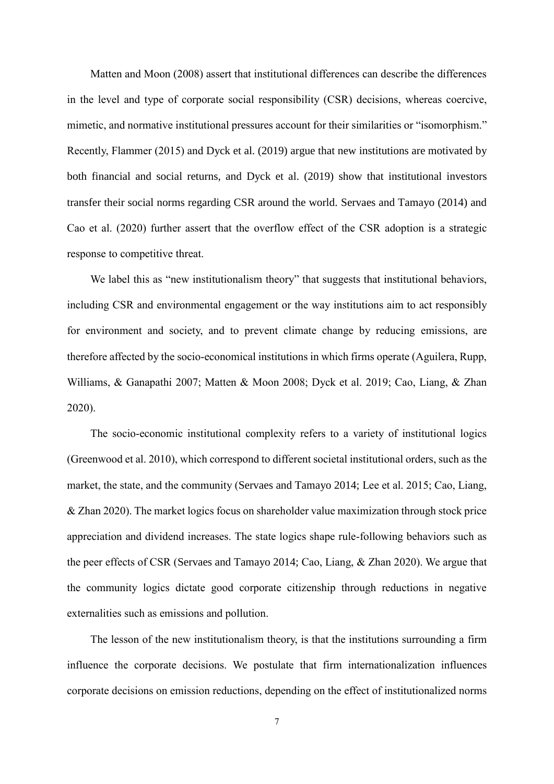Matten and Moon (2008) assert that institutional differences can describe the differences in the level and type of corporate social responsibility (CSR) decisions, whereas coercive, mimetic, and normative institutional pressures account for their similarities or "isomorphism." Recently, Flammer (2015) and Dyck et al. (2019) argue that new institutions are motivated by both financial and social returns, and Dyck et al. (2019) show that institutional investors transfer their social norms regarding CSR around the world. Servaes and Tamayo (2014) and Cao et al. (2020) further assert that the overflow effect of the CSR adoption is a strategic response to competitive threat.

We label this as "new institutionalism theory" that suggests that institutional behaviors, including CSR and environmental engagement or the way institutions aim to act responsibly for environment and society, and to prevent climate change by reducing emissions, are therefore affected by the socio-economical institutions in which firms operate (Aguilera, Rupp, Williams, & Ganapathi 2007; Matten & Moon 2008; Dyck et al. 2019; Cao, Liang, & Zhan 2020).

The socio-economic institutional complexity refers to a variety of institutional logics (Greenwood et al. 2010), which correspond to different societal institutional orders, such as the market, the state, and the community (Servaes and Tamayo 2014; Lee et al. 2015; Cao, Liang, & Zhan 2020). The market logics focus on shareholder value maximization through stock price appreciation and dividend increases. The state logics shape rule-following behaviors such as the peer effects of CSR (Servaes and Tamayo 2014; Cao, Liang, & Zhan 2020). We argue that the community logics dictate good corporate citizenship through reductions in negative externalities such as emissions and pollution.

The lesson of the new institutionalism theory, is that the institutions surrounding a firm influence the corporate decisions. We postulate that firm internationalization influences corporate decisions on emission reductions, depending on the effect of institutionalized norms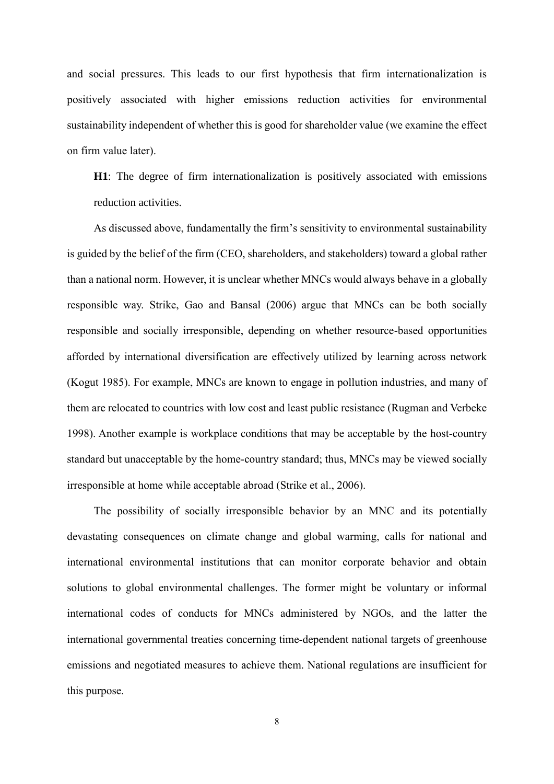and social pressures. This leads to our first hypothesis that firm internationalization is positively associated with higher emissions reduction activities for environmental sustainability independent of whether this is good for shareholder value (we examine the effect on firm value later).

**H1**: The degree of firm internationalization is positively associated with emissions reduction activities.

As discussed above, fundamentally the firm's sensitivity to environmental sustainability is guided by the belief of the firm (CEO, shareholders, and stakeholders) toward a global rather than a national norm. However, it is unclear whether MNCs would always behave in a globally responsible way. Strike, Gao and Bansal (2006) argue that MNCs can be both socially responsible and socially irresponsible, depending on whether resource-based opportunities afforded by international diversification are effectively utilized by learning across network (Kogut 1985). For example, MNCs are known to engage in pollution industries, and many of them are relocated to countries with low cost and least public resistance (Rugman and Verbeke 1998). Another example is workplace conditions that may be acceptable by the host-country standard but unacceptable by the home-country standard; thus, MNCs may be viewed socially irresponsible at home while acceptable abroad (Strike et al., 2006).

The possibility of socially irresponsible behavior by an MNC and its potentially devastating consequences on climate change and global warming, calls for national and international environmental institutions that can monitor corporate behavior and obtain solutions to global environmental challenges. The former might be voluntary or informal international codes of conducts for MNCs administered by NGOs, and the latter the international governmental treaties concerning time-dependent national targets of greenhouse emissions and negotiated measures to achieve them. National regulations are insufficient for this purpose.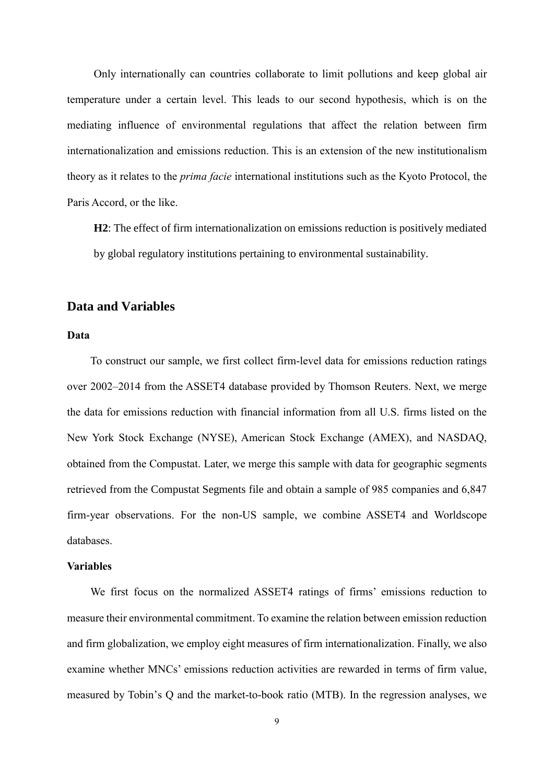Only internationally can countries collaborate to limit pollutions and keep global air temperature under a certain level. This leads to our second hypothesis, which is on the mediating influence of environmental regulations that affect the relation between firm internationalization and emissions reduction. This is an extension of the new institutionalism theory as it relates to the *prima facie* international institutions such as the Kyoto Protocol, the Paris Accord, or the like.

**H2**: The effect of firm internationalization on emissions reduction is positively mediated by global regulatory institutions pertaining to environmental sustainability.

#### **Data and Variables**

#### **Data**

To construct our sample, we first collect firm-level data for emissions reduction ratings over 2002–2014 from the ASSET4 database provided by Thomson Reuters. Next, we merge the data for emissions reduction with financial information from all U.S. firms listed on the New York Stock Exchange (NYSE), American Stock Exchange (AMEX), and NASDAQ, obtained from the Compustat. Later, we merge this sample with data for geographic segments retrieved from the Compustat Segments file and obtain a sample of 985 companies and 6,847 firm-year observations. For the non-US sample, we combine ASSET4 and Worldscope databases.

### **Variables**

We first focus on the normalized ASSET4 ratings of firms' emissions reduction to measure their environmental commitment. To examine the relation between emission reduction and firm globalization, we employ eight measures of firm internationalization. Finally, we also examine whether MNCs' emissions reduction activities are rewarded in terms of firm value, measured by Tobin's Q and the market-to-book ratio (MTB). In the regression analyses, we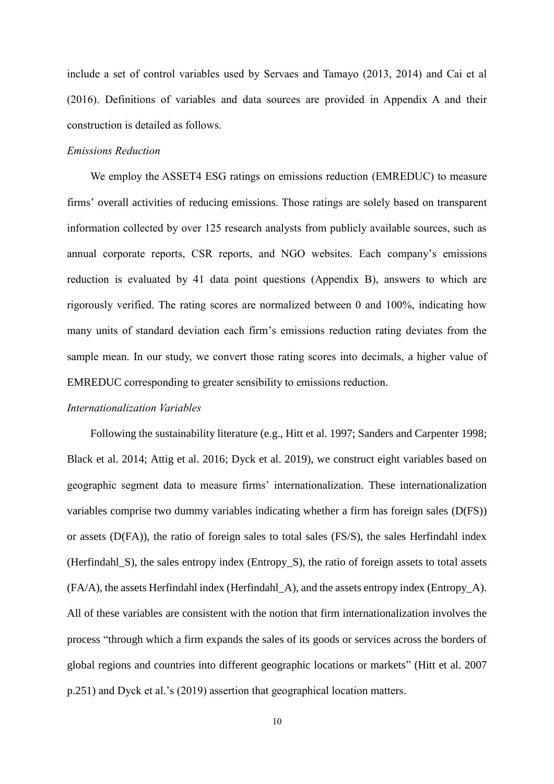include a set of control variables used by Servaes and Tamayo (2013, 2014) and Cai et al (2016). Definitions of variables and data sources are provided in Appendix A and their construction is detailed as follows.

#### *Emissions Reduction*

We employ the ASSET4 ESG ratings on emissions reduction (EMREDUC) to measure firms' overall activities of reducing emissions. Those ratings are solely based on transparent information collected by over 125 research analysts from publicly available sources, such as annual corporate reports, CSR reports, and NGO websites. Each company's emissions reduction is evaluated by 41 data point questions (Appendix B), answers to which are rigorously verified. The rating scores are normalized between 0 and 100%, indicating how many units of standard deviation each firm's emissions reduction rating deviates from the sample mean. In our study, we convert those rating scores into decimals, a higher value of EMREDUC corresponding to greater sensibility to emissions reduction.

#### *Internationalization Variables*

Following the sustainability literature (e.g., Hitt et al. 1997; Sanders and Carpenter 1998; Black et al. 2014; Attig et al. 2016; Dyck et al. 2019), we construct eight variables based on geographic segment data to measure firms' internationalization. These internationalization variables comprise two dummy variables indicating whether a firm has foreign sales (D(FS)) or assets (D(FA)), the ratio of foreign sales to total sales (FS/S), the sales Herfindahl index (Herfindahl\_S), the sales entropy index (Entropy\_S), the ratio of foreign assets to total assets (FA/A), the assets Herfindahl index (Herfindahl\_A), and the assets entropy index (Entropy\_A). All of these variables are consistent with the notion that firm internationalization involves the process "through which a firm expands the sales of its goods or services across the borders of global regions and countries into different geographic locations or markets" (Hitt et al. 2007 p.251) and Dyck et al.'s (2019) assertion that geographical location matters.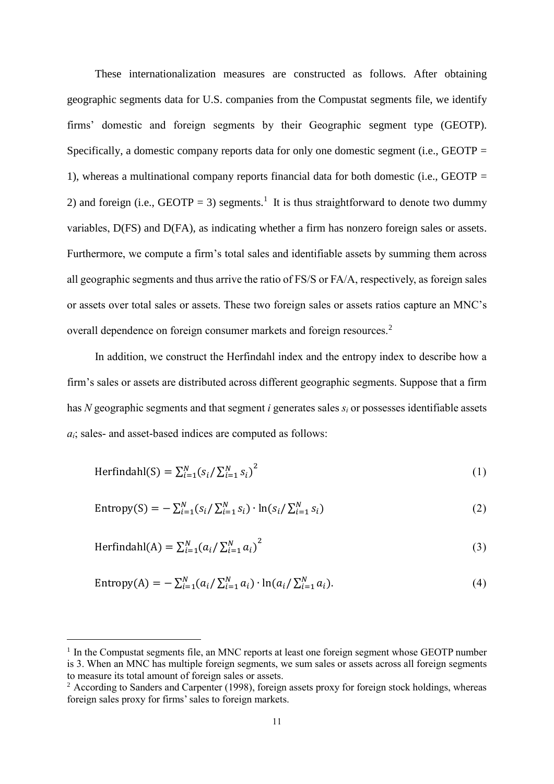These internationalization measures are constructed as follows. After obtaining geographic segments data for U.S. companies from the Compustat segments file, we identify firms' domestic and foreign segments by their Geographic segment type (GEOTP). Specifically, a domestic company reports data for only one domestic segment (i.e., GEOTP  $=$ 1), whereas a multinational company reports financial data for both domestic (i.e., GEOTP = 2) and foreign (i.e.,  $GEOTP = 3$ ) segments.<sup>1</sup> It is thus straightforward to denote two dummy variables, D(FS) and D(FA), as indicating whether a firm has nonzero foreign sales or assets. Furthermore, we compute a firm's total sales and identifiable assets by summing them across all geographic segments and thus arrive the ratio of FS/S or FA/A, respectively, as foreign sales or assets over total sales or assets. These two foreign sales or assets ratios capture an MNC's overall dependence on foreign consumer markets and foreign resources.<sup>2</sup>

In addition, we construct the Herfindahl index and the entropy index to describe how a firm's sales or assets are distributed across different geographic segments. Suppose that a firm has *N* geographic segments and that segment *i* generates sales *s<sup>i</sup>* or possesses identifiable assets *ai*; sales- and asset-based indices are computed as follows:

Herfindahl(S) = 
$$
\sum_{i=1}^{N} (s_i / \sum_{i=1}^{N} s_i)^2
$$
 (1)

Entropy(S) = 
$$
-\sum_{i=1}^{N} (s_i / \sum_{i=1}^{N} s_i) \cdot \ln(s_i / \sum_{i=1}^{N} s_i)
$$
 (2)

Herfindahl(A) = 
$$
\sum_{i=1}^{N} (a_i / \sum_{i=1}^{N} a_i)^2
$$
 (3)

Entropy(A) = 
$$
-\sum_{i=1}^{N} (a_i / \sum_{i=1}^{N} a_i) \cdot \ln(a_i / \sum_{i=1}^{N} a_i).
$$
 (4)

-

<sup>&</sup>lt;sup>1</sup> In the Compustat segments file, an MNC reports at least one foreign segment whose GEOTP number is 3. When an MNC has multiple foreign segments, we sum sales or assets across all foreign segments to measure its total amount of foreign sales or assets.

<sup>&</sup>lt;sup>2</sup> According to Sanders and Carpenter (1998), foreign assets proxy for foreign stock holdings, whereas foreign sales proxy for firms' sales to foreign markets.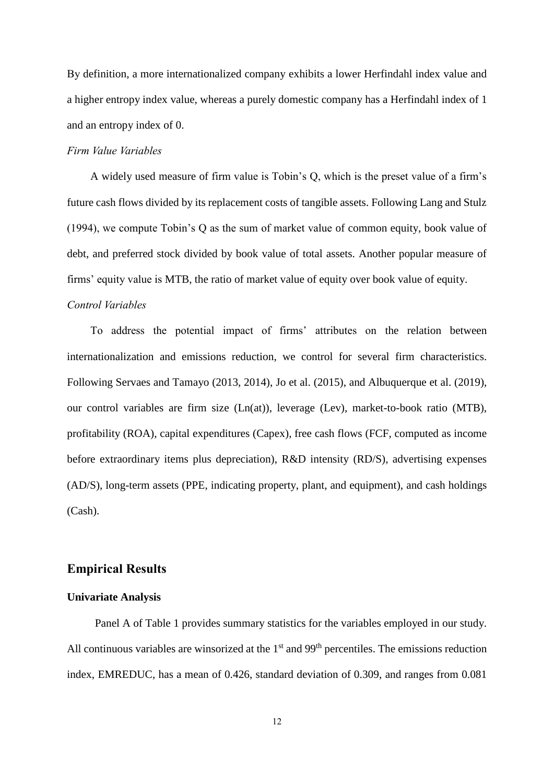By definition, a more internationalized company exhibits a lower Herfindahl index value and a higher entropy index value, whereas a purely domestic company has a Herfindahl index of 1 and an entropy index of 0.

#### *Firm Value Variables*

A widely used measure of firm value is Tobin's Q, which is the preset value of a firm's future cash flows divided by its replacement costs of tangible assets. Following Lang and Stulz (1994), we compute Tobin's Q as the sum of market value of common equity, book value of debt, and preferred stock divided by book value of total assets. Another popular measure of firms' equity value is MTB, the ratio of market value of equity over book value of equity.

### *Control Variables*

To address the potential impact of firms' attributes on the relation between internationalization and emissions reduction, we control for several firm characteristics. Following Servaes and Tamayo (2013, 2014), Jo et al. (2015), and Albuquerque et al. (2019), our control variables are firm size (Ln(at)), leverage (Lev), market-to-book ratio (MTB), profitability (ROA), capital expenditures (Capex), free cash flows (FCF, computed as income before extraordinary items plus depreciation), R&D intensity (RD/S), advertising expenses (AD/S), long-term assets (PPE, indicating property, plant, and equipment), and cash holdings (Cash).

#### **Empirical Results**

#### **Univariate Analysis**

Panel A of Table 1 provides summary statistics for the variables employed in our study. All continuous variables are winsorized at the  $1<sup>st</sup>$  and  $99<sup>th</sup>$  percentiles. The emissions reduction index, EMREDUC, has a mean of 0.426, standard deviation of 0.309, and ranges from 0.081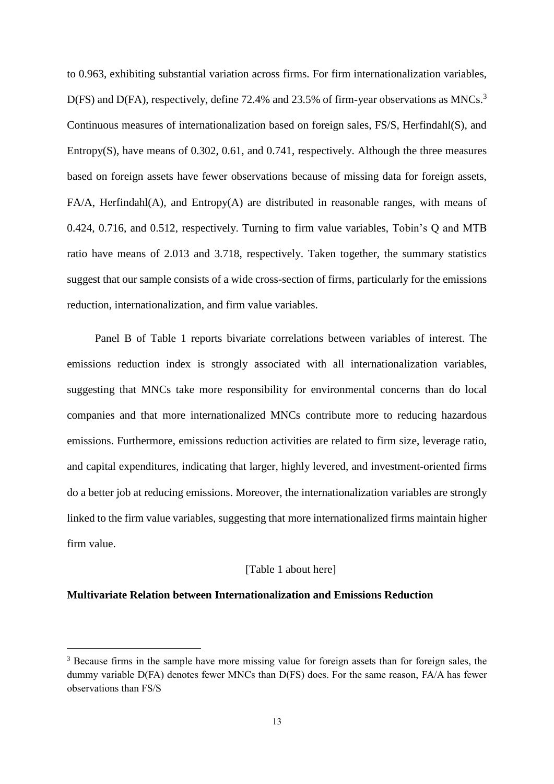to 0.963, exhibiting substantial variation across firms. For firm internationalization variables, D(FS) and D(FA), respectively, define 72.4% and 23.5% of firm-year observations as MNCs.<sup>3</sup> Continuous measures of internationalization based on foreign sales, FS/S, Herfindahl(S), and Entropy(S), have means of 0.302, 0.61, and 0.741, respectively. Although the three measures based on foreign assets have fewer observations because of missing data for foreign assets, FA/A, Herfindahl(A), and Entropy(A) are distributed in reasonable ranges, with means of 0.424, 0.716, and 0.512, respectively. Turning to firm value variables, Tobin's Q and MTB ratio have means of 2.013 and 3.718, respectively. Taken together, the summary statistics suggest that our sample consists of a wide cross-section of firms, particularly for the emissions reduction, internationalization, and firm value variables.

Panel B of Table 1 reports bivariate correlations between variables of interest. The emissions reduction index is strongly associated with all internationalization variables, suggesting that MNCs take more responsibility for environmental concerns than do local companies and that more internationalized MNCs contribute more to reducing hazardous emissions. Furthermore, emissions reduction activities are related to firm size, leverage ratio, and capital expenditures, indicating that larger, highly levered, and investment-oriented firms do a better job at reducing emissions. Moreover, the internationalization variables are strongly linked to the firm value variables, suggesting that more internationalized firms maintain higher firm value.

#### [Table 1 about here]

#### **Multivariate Relation between Internationalization and Emissions Reduction**

-

<sup>&</sup>lt;sup>3</sup> Because firms in the sample have more missing value for foreign assets than for foreign sales, the dummy variable D(FA) denotes fewer MNCs than D(FS) does. For the same reason, FA/A has fewer observations than FS/S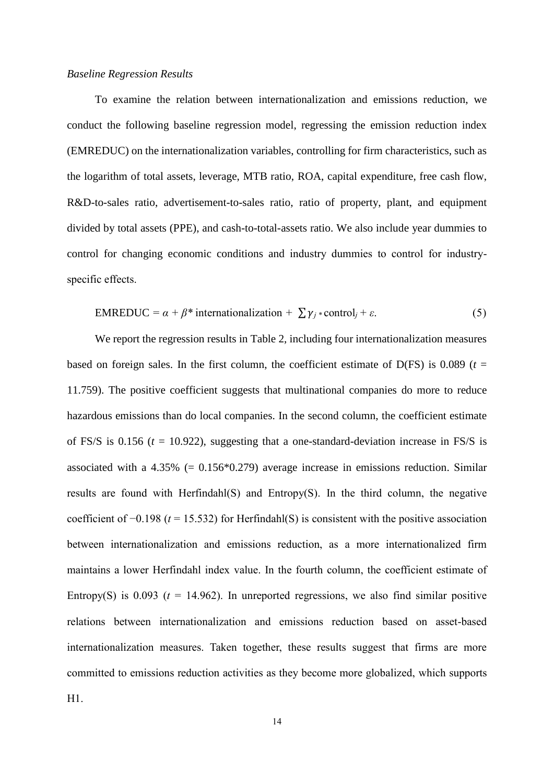#### *Baseline Regression Results*

To examine the relation between internationalization and emissions reduction, we conduct the following baseline regression model, regressing the emission reduction index (EMREDUC) on the internationalization variables, controlling for firm characteristics, such as the logarithm of total assets, leverage, MTB ratio, ROA, capital expenditure, free cash flow, R&D-to-sales ratio, advertisement-to-sales ratio, ratio of property, plant, and equipment divided by total assets (PPE), and cash-to-total-assets ratio. We also include year dummies to control for changing economic conditions and industry dummies to control for industryspecific effects.

$$
EMREDUC = \alpha + \beta^* \text{ internationalization} + \sum \gamma_j * \text{control}_j + \varepsilon. \tag{5}
$$

We report the regression results in Table 2, including four internationalization measures based on foreign sales. In the first column, the coefficient estimate of  $D(FS)$  is 0.089 ( $t =$ 11.759). The positive coefficient suggests that multinational companies do more to reduce hazardous emissions than do local companies. In the second column, the coefficient estimate of FS/S is 0.156 ( $t = 10.922$ ), suggesting that a one-standard-deviation increase in FS/S is associated with a  $4.35\%$  (= 0.156 $*$ 0.279) average increase in emissions reduction. Similar results are found with Herfindahl(S) and Entropy(S). In the third column, the negative coefficient of −0.198 (*t* = 15.532) for Herfindahl(S) is consistent with the positive association between internationalization and emissions reduction, as a more internationalized firm maintains a lower Herfindahl index value. In the fourth column, the coefficient estimate of Entropy(S) is  $0.093$  ( $t = 14.962$ ). In unreported regressions, we also find similar positive relations between internationalization and emissions reduction based on asset-based internationalization measures. Taken together, these results suggest that firms are more committed to emissions reduction activities as they become more globalized, which supports H1.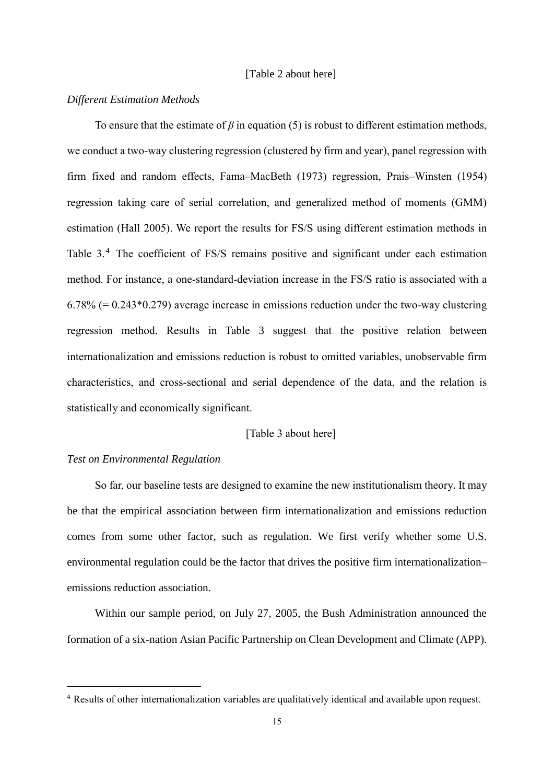#### [Table 2 about here]

#### *Different Estimation Methods*

To ensure that the estimate of  $\beta$  in equation (5) is robust to different estimation methods, we conduct a two-way clustering regression (clustered by firm and year), panel regression with firm fixed and random effects, Fama–MacBeth (1973) regression, Prais–Winsten (1954) regression taking care of serial correlation, and generalized method of moments (GMM) estimation (Hall 2005). We report the results for FS/S using different estimation methods in Table 3.<sup>4</sup> The coefficient of FS/S remains positive and significant under each estimation method. For instance, a one-standard-deviation increase in the FS/S ratio is associated with a  $6.78\%$  (= 0.243 $*$ 0.279) average increase in emissions reduction under the two-way clustering regression method. Results in Table 3 suggest that the positive relation between internationalization and emissions reduction is robust to omitted variables, unobservable firm characteristics, and cross-sectional and serial dependence of the data, and the relation is statistically and economically significant.

#### [Table 3 about here]

#### *Test on Environmental Regulation*

-

So far, our baseline tests are designed to examine the new institutionalism theory. It may be that the empirical association between firm internationalization and emissions reduction comes from some other factor, such as regulation. We first verify whether some U.S. environmental regulation could be the factor that drives the positive firm internationalization– emissions reduction association.

Within our sample period, on July 27, 2005, the Bush Administration announced the formation of a six-nation Asian Pacific Partnership on Clean Development and Climate (APP).

<sup>4</sup> Results of other internationalization variables are qualitatively identical and available upon request.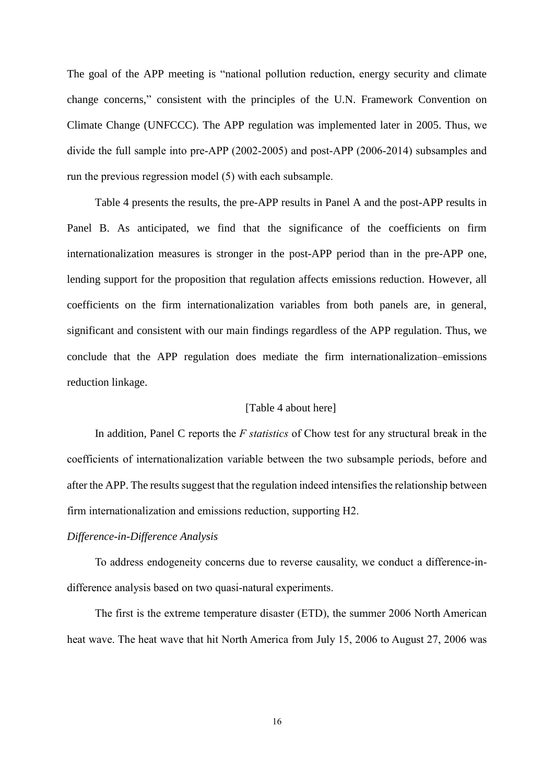The goal of the APP meeting is "national pollution reduction, energy security and climate change concerns," consistent with the principles of the U.N. Framework Convention on Climate Change (UNFCCC). The APP regulation was implemented later in 2005. Thus, we divide the full sample into pre-APP (2002-2005) and post-APP (2006-2014) subsamples and run the previous regression model (5) with each subsample.

Table 4 presents the results, the pre-APP results in Panel A and the post-APP results in Panel B. As anticipated, we find that the significance of the coefficients on firm internationalization measures is stronger in the post-APP period than in the pre-APP one, lending support for the proposition that regulation affects emissions reduction. However, all coefficients on the firm internationalization variables from both panels are, in general, significant and consistent with our main findings regardless of the APP regulation. Thus, we conclude that the APP regulation does mediate the firm internationalization–emissions reduction linkage.

#### [Table 4 about here]

In addition, Panel C reports the *F statistics* of Chow test for any structural break in the coefficients of internationalization variable between the two subsample periods, before and after the APP. The results suggest that the regulation indeed intensifies the relationship between firm internationalization and emissions reduction, supporting H2.

#### *Difference-in-Difference Analysis*

To address endogeneity concerns due to reverse causality, we conduct a difference-indifference analysis based on two quasi-natural experiments.

The first is the extreme temperature disaster (ETD), the summer 2006 North American heat wave. The heat wave that hit North America from July 15, 2006 to August 27, 2006 was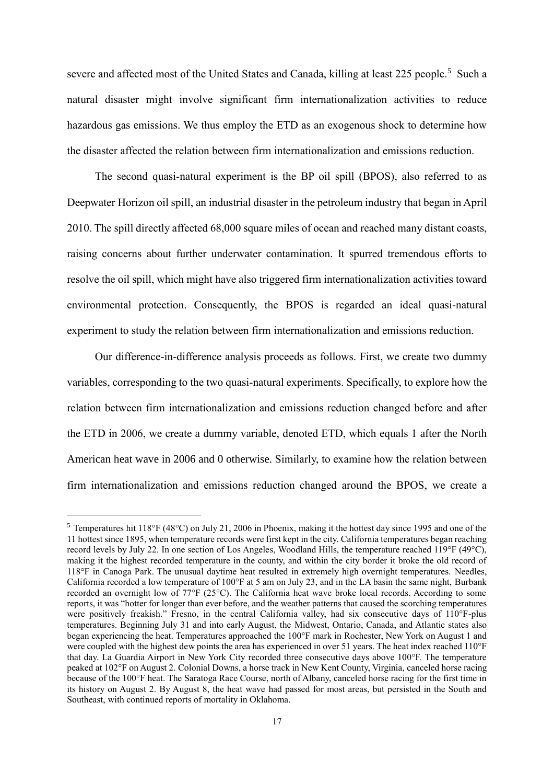severe and affected most of the [United States](https://en.wikipedia.org/wiki/United_States) and [Canada,](https://en.wikipedia.org/wiki/Canada) killing at least 225 people.<sup>5</sup> Such a natural disaster might involve significant firm internationalization activities to reduce hazardous gas emissions. We thus employ the ETD as an exogenous shock to determine how the disaster affected the relation between firm internationalization and emissions reduction.

The second quasi-natural experiment is the BP oil spill (BPOS), also referred to as Deepwater Horizon oil spill, an industrial disaster in the petroleum industry that began in April 2010. The spill directly affected 68,000 square miles of ocean and reached many distant coasts, raising concerns about further underwater contamination. It spurred tremendous efforts to resolve the oil spill, which might have also triggered firm internationalization activities toward environmental protection. Consequently, the BPOS is regarded an ideal quasi-natural experiment to study the relation between firm internationalization and emissions reduction.

Our difference-in-difference analysis proceeds as follows. First, we create two dummy variables, corresponding to the two quasi-natural experiments. Specifically, to explore how the relation between firm internationalization and emissions reduction changed before and after the ETD in 2006, we create a dummy variable, denoted ETD, which equals 1 after the North American heat wave in 2006 and 0 otherwise. Similarly, to examine how the relation between firm internationalization and emissions reduction changed around the BPOS, we create a

-

<sup>&</sup>lt;sup>5</sup> Temperatures hit 118°F (48°C) on July 21, 2006 in Phoenix, making it the hottest day since 1995 and one of the 11 hottest since 1895, when temperature records were first kept in the city. California temperatures began reaching record levels by July 22. In one section of Los Angeles, [Woodland Hills,](https://en.wikipedia.org/wiki/Woodland_Hills,_California) the temperature reached 119°F (49°C), making it the highest recorded temperature in the county, and within the city border it broke the old record of 118°F in Canoga Park. The unusual daytime heat resulted in extremely high overnight temperatures. [Needles,](https://en.wikipedia.org/wiki/Needles,_California)  [California](https://en.wikipedia.org/wiki/Needles,_California) recorded a low temperature of 100°F at 5 am on July 23, and in the LA basin the same night, [Burbank](https://en.wikipedia.org/wiki/Burbank,_California) recorded an overnight low of 77°F (25°C). The California heat wave broke local records. According to some reports, it was "hotter for longer than ever before, and the weather patterns that caused the scorching temperatures were positively freakish." Fresno, in the central California valley, had six consecutive days of 110°F-plus temperatures. Beginning July 31 and into early August, the [Midwest,](https://en.wikipedia.org/wiki/Midwestern_United_States) [Ontario,](https://en.wikipedia.org/wiki/Ontario) Canada, and [Atlantic states](https://en.wikipedia.org/wiki/East_Coast_of_the_United_States) also began experiencing the heat. Temperatures approached the 100°F mark in [Rochester, New York](https://en.wikipedia.org/wiki/Rochester,_New_York) on August 1 and were coupled with the highest [dew points](https://en.wikipedia.org/wiki/Dew_point) the area has experienced in over 51 years. Th[e heat index](https://en.wikipedia.org/wiki/Heat_index) reached 110°F that day. [La Guardia Airport](https://en.wikipedia.org/wiki/La_Guardia_Airport) in [New York City](https://en.wikipedia.org/wiki/New_York_City) recorded three consecutive days above 100°F. The temperature peaked at 102°F on August 2[. Colonial Downs,](https://en.wikipedia.org/wiki/Colonial_Downs) a horse track in [New Kent County, Virginia,](https://en.wikipedia.org/wiki/New_Kent_County,_Virginia) canceled horse racing because of the 100°F heat. The [Saratoga Race Course,](https://en.wikipedia.org/wiki/Saratoga_Race_Course) north of Albany, canceled horse racing for the first time in its history on August 2. By August 8, the heat wave had passed for most areas, but persisted in the South and Southeast, with continued reports of mortality in Oklahoma.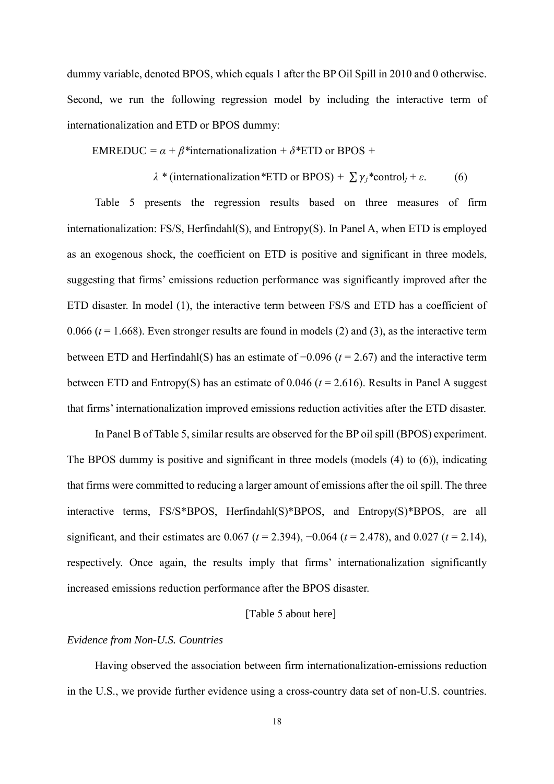dummy variable, denoted BPOS, which equals 1 after the BP Oil Spill in 2010 and 0 otherwise. Second, we run the following regression model by including the interactive term of internationalization and ETD or BPOS dummy:

EMREDUC =  $\alpha + \beta^*$ internationalization +  $\delta^*$ ETD or BPOS +

$$
\lambda
$$
 \* (interactionalization \*ETD or BPOS) +  $\sum \gamma_j$  \*control<sub>j</sub> +  $\varepsilon$ . (6)

Table 5 presents the regression results based on three measures of firm internationalization: FS/S, Herfindahl(S), and Entropy(S). In Panel A, when ETD is employed as an exogenous shock, the coefficient on ETD is positive and significant in three models, suggesting that firms' emissions reduction performance was significantly improved after the ETD disaster. In model (1), the interactive term between FS/S and ETD has a coefficient of 0.066 ( $t = 1.668$ ). Even stronger results are found in models (2) and (3), as the interactive term between ETD and Herfindahl(S) has an estimate of −0.096 (*t* = 2.67) and the interactive term between ETD and Entropy(S) has an estimate of 0.046 (*t* = 2.616). Results in Panel A suggest that firms' internationalization improved emissions reduction activities after the ETD disaster.

In Panel B of Table 5, similar results are observed for the BP oil spill (BPOS) experiment. The BPOS dummy is positive and significant in three models (models (4) to (6)), indicating that firms were committed to reducing a larger amount of emissions after the oil spill. The three interactive terms, FS/S\*BPOS, Herfindahl(S)\*BPOS, and Entropy(S)\*BPOS, are all significant, and their estimates are 0.067 (*t* = 2.394), −0.064 (*t* = 2.478), and 0.027 (*t* = 2.14), respectively. Once again, the results imply that firms' internationalization significantly increased emissions reduction performance after the BPOS disaster.

#### [Table 5 about here]

#### *Evidence from Non-U.S. Countries*

Having observed the association between firm internationalization-emissions reduction in the U.S., we provide further evidence using a cross-country data set of non-U.S. countries.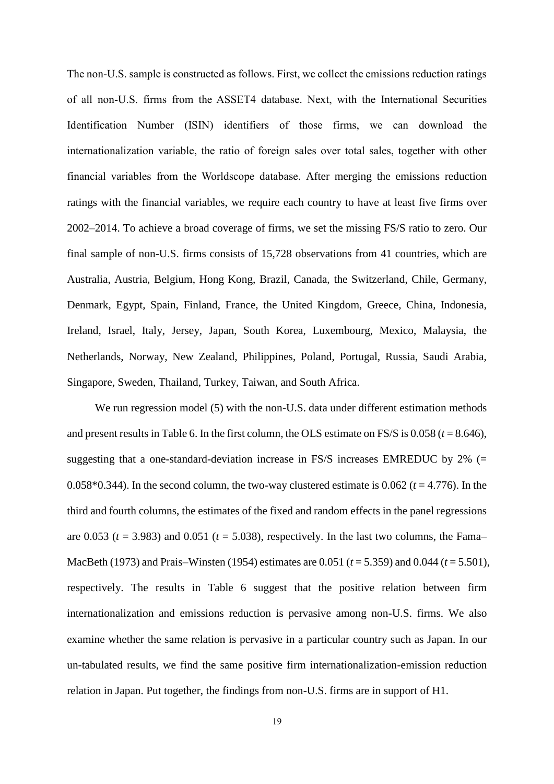The non-U.S. sample is constructed as follows. First, we collect the emissions reduction ratings of all non-U.S. firms from the ASSET4 database. Next, with the International Securities Identification Number (ISIN) identifiers of those firms, we can download the internationalization variable, the ratio of foreign sales over total sales, together with other financial variables from the Worldscope database. After merging the emissions reduction ratings with the financial variables, we require each country to have at least five firms over 2002–2014. To achieve a broad coverage of firms, we set the missing FS/S ratio to zero. Our final sample of non-U.S. firms consists of 15,728 observations from 41 countries, which are Australia, Austria, Belgium, Hong Kong, Brazil, Canada, the Switzerland, Chile, Germany, Denmark, Egypt, Spain, Finland, France, the United Kingdom, Greece, China, Indonesia, Ireland, Israel, Italy, Jersey, Japan, South Korea, Luxembourg, Mexico, Malaysia, the Netherlands, Norway, New Zealand, Philippines, Poland, Portugal, Russia, Saudi Arabia, Singapore, Sweden, Thailand, Turkey, Taiwan, and South Africa.

We run regression model (5) with the non-U.S. data under different estimation methods and present results in Table 6. In the first column, the OLS estimate on FS/S is  $0.058$  ( $t = 8.646$ ), suggesting that a one-standard-deviation increase in FS/S increases EMREDUC by 2%  $(=$ 0.058 $*0.344$ ). In the second column, the two-way clustered estimate is 0.062 ( $t = 4.776$ ). In the third and fourth columns, the estimates of the fixed and random effects in the panel regressions are 0.053 ( $t = 3.983$ ) and 0.051 ( $t = 5.038$ ), respectively. In the last two columns, the Fama– MacBeth (1973) and Prais–Winsten (1954) estimates are 0.051 (*t* = 5.359) and 0.044 (*t* = 5.501), respectively. The results in Table 6 suggest that the positive relation between firm internationalization and emissions reduction is pervasive among non-U.S. firms. We also examine whether the same relation is pervasive in a particular country such as Japan. In our un-tabulated results, we find the same positive firm internationalization-emission reduction relation in Japan. Put together, the findings from non-U.S. firms are in support of H1.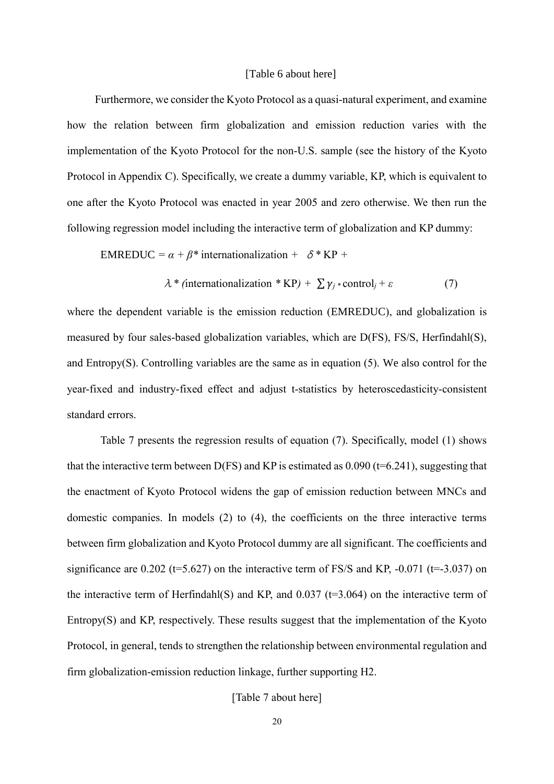#### [Table 6 about here]

Furthermore, we consider the Kyoto Protocol as a quasi-natural experiment, and examine how the relation between firm globalization and emission reduction varies with the implementation of the Kyoto Protocol for the non-U.S. sample (see the history of the Kyoto Protocol in Appendix C). Specifically, we create a dummy variable, KP, which is equivalent to one after the Kyoto Protocol was enacted in year 2005 and zero otherwise. We then run the following regression model including the interactive term of globalization and KP dummy:

**EMREDUC** = 
$$
\alpha + \beta^*
$$
 internationalization +  $\delta^*KP$  +

$$
\lambda * (intematicalization * KP) + \sum \gamma_j * control_j + \varepsilon
$$
 (7)

where the dependent variable is the emission reduction (EMREDUC), and globalization is measured by four sales-based globalization variables, which are D(FS), FS/S, Herfindahl(S), and Entropy(S). Controlling variables are the same as in equation (5). We also control for the year-fixed and industry-fixed effect and adjust t-statistics by heteroscedasticity-consistent standard errors.

Table 7 presents the regression results of equation (7). Specifically, model (1) shows that the interactive term between  $D(FS)$  and KP is estimated as 0.090 (t=6.241), suggesting that the enactment of Kyoto Protocol widens the gap of emission reduction between MNCs and domestic companies. In models (2) to (4), the coefficients on the three interactive terms between firm globalization and Kyoto Protocol dummy are all significant. The coefficients and significance are  $0.202$  (t=5.627) on the interactive term of FS/S and KP, -0.071 (t=-3.037) on the interactive term of Herfindahl(S) and KP, and  $0.037$  ( $t=3.064$ ) on the interactive term of Entropy(S) and KP, respectively. These results suggest that the implementation of the Kyoto Protocol, in general, tends to strengthen the relationship between environmental regulation and firm globalization-emission reduction linkage, further supporting H2.

#### [Table 7 about here]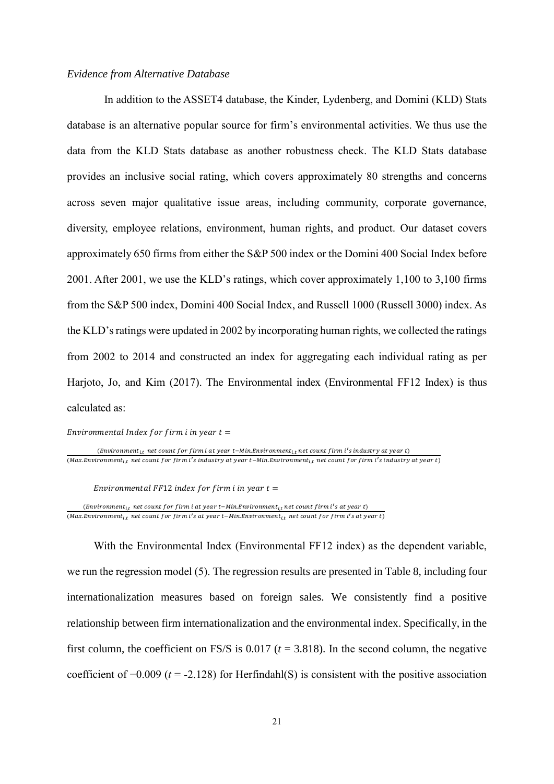#### *Evidence from Alternative Database*

In addition to the ASSET4 database, the Kinder, Lydenberg, and Domini (KLD) Stats database is an alternative popular source for firm's environmental activities. We thus use the data from the KLD Stats database as another robustness check. The KLD Stats database provides an inclusive social rating, which covers approximately 80 strengths and concerns across seven major qualitative issue areas, including community, corporate governance, diversity, employee relations, environment, human rights, and product. Our dataset covers approximately 650 firms from either the S&P 500 index or the Domini 400 Social Index before 2001. After 2001, we use the KLD's ratings, which cover approximately 1,100 to 3,100 firms from the S&P 500 index, Domini 400 Social Index, and Russell 1000 (Russell 3000) index. As the KLD's ratings were updated in 2002 by incorporating human rights, we collected the ratings from 2002 to 2014 and constructed an index for aggregating each individual rating as per Harjoto, Jo, and Kim (2017). The Environmental index (Environmental FF12 Index) is thus calculated as:

Environmental Index for firm i in year  $t =$ 

 $(Environment_{it}$  net count for firm i at year t-Min.Environment $_{it}$  net count firm i's industry at year t) (Max.Environment $_{i,t}$  net count for firm i's industry at year t–Min.Environment $_{i,t}$  net count for firm i's industry at year t)

Environmental FF12 index for firm i in year  $t =$ 

(Environment<sub>i,t</sub> net count for firm i at year t–Min.Environment<sub>i,t</sub> net count firm i's at year t) (Max.Environment<sub>i,t</sub> net count for firm i's at year t–Min.Environment<sub>i,t</sub> net count for firm i's at year t)

With the Environmental Index (Environmental FF12 index) as the dependent variable, we run the regression model (5). The regression results are presented in Table 8, including four internationalization measures based on foreign sales. We consistently find a positive relationship between firm internationalization and the environmental index. Specifically, in the first column, the coefficient on FS/S is  $0.017$  ( $t = 3.818$ ). In the second column, the negative coefficient of −0.009 (*t* = -2.128) for Herfindahl(S) is consistent with the positive association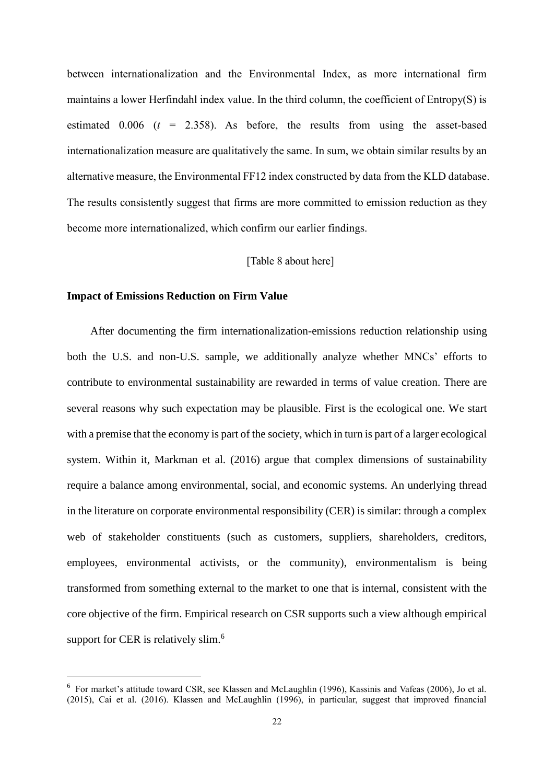between internationalization and the Environmental Index, as more international firm maintains a lower Herfindahl index value. In the third column, the coefficient of Entropy(S) is estimated  $0.006$  ( $t = 2.358$ ). As before, the results from using the asset-based internationalization measure are qualitatively the same. In sum, we obtain similar results by an alternative measure, the Environmental FF12 index constructed by data from the KLD database. The results consistently suggest that firms are more committed to emission reduction as they become more internationalized, which confirm our earlier findings.

#### [Table 8 about here]

#### **Impact of Emissions Reduction on Firm Value**

-

After documenting the firm internationalization-emissions reduction relationship using both the U.S. and non-U.S. sample, we additionally analyze whether MNCs' efforts to contribute to environmental sustainability are rewarded in terms of value creation. There are several reasons why such expectation may be plausible. First is the ecological one. We start with a premise that the economy is part of the society, which in turn is part of a larger ecological system. Within it, Markman et al. (2016) argue that complex dimensions of sustainability require a balance among environmental, social, and economic systems. An underlying thread in the literature on corporate environmental responsibility (CER) is similar: through a complex web of stakeholder constituents (such as customers, suppliers, shareholders, creditors, employees, environmental activists, or the community), environmentalism is being transformed from something external to the market to one that is internal, consistent with the core objective of the firm. Empirical research on CSR supports such a view although empirical support for CER is relatively slim.<sup>6</sup>

<sup>6</sup> For market's attitude toward CSR, see Klassen and McLaughlin (1996), Kassinis and Vafeas (2006), Jo et al. (2015), Cai et al. (2016). Klassen and McLaughlin (1996), in particular, suggest that improved financial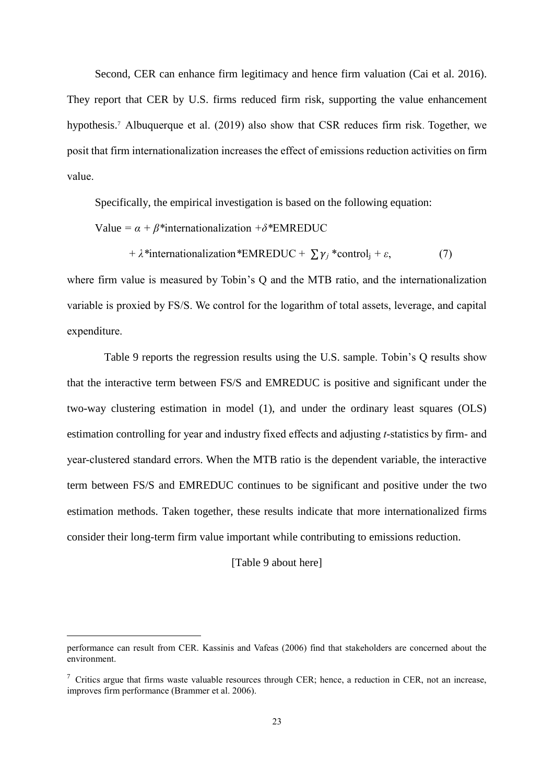Second, CER can enhance firm legitimacy and hence firm valuation (Cai et al. 2016). They report that CER by U.S. firms reduced firm risk, supporting the value enhancement hypothesis.<sup>7</sup> Albuquerque et al. (2019) also show that CSR reduces firm risk. Together, we posit that firm internationalization increases the effect of emissions reduction activities on firm value.

Specifically, the empirical investigation is based on the following equation:

Value =  $\alpha + \beta^*$ internationalization + $\delta^*$ EMREDUC

*+ λ\*internationalization\*EMREDUC +*  $\sum \gamma_i$  \*control<sub>i</sub> +  $\varepsilon$ , (7)

where firm value is measured by Tobin's Q and the MTB ratio, and the internationalization variable is proxied by FS/S. We control for the logarithm of total assets, leverage, and capital expenditure.

Table 9 reports the regression results using the U.S. sample. Tobin's Q results show that the interactive term between FS/S and EMREDUC is positive and significant under the two-way clustering estimation in model (1), and under the ordinary least squares (OLS) estimation controlling for year and industry fixed effects and adjusting *t*-statistics by firm- and year-clustered standard errors. When the MTB ratio is the dependent variable, the interactive term between FS/S and EMREDUC continues to be significant and positive under the two estimation methods. Taken together, these results indicate that more internationalized firms consider their long-term firm value important while contributing to emissions reduction.

[Table 9 about here]

-

performance can result from CER. Kassinis and Vafeas (2006) find that stakeholders are concerned about the environment.

 $\frac{7}{7}$  Critics argue that firms waste valuable resources through CER; hence, a reduction in CER, not an increase, improves firm performance (Brammer et al. 2006).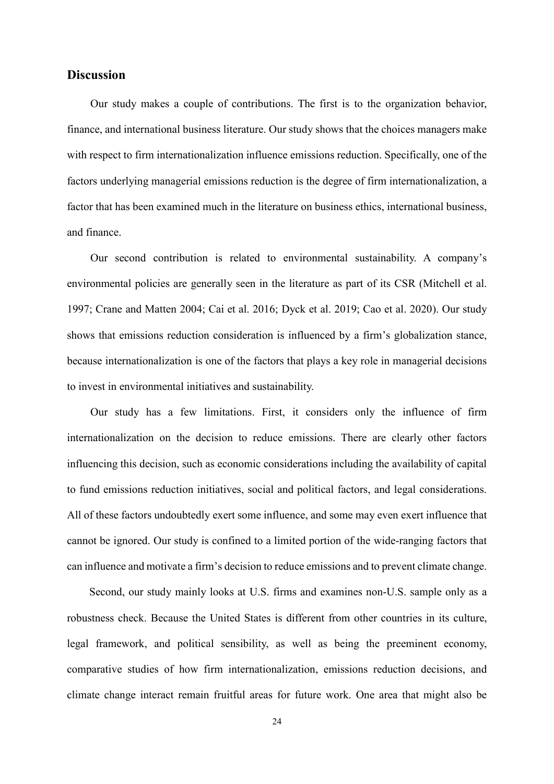### **Discussion**

Our study makes a couple of contributions. The first is to the organization behavior, finance, and international business literature. Our study shows that the choices managers make with respect to firm internationalization influence emissions reduction. Specifically, one of the factors underlying managerial emissions reduction is the degree of firm internationalization, a factor that has been examined much in the literature on business ethics, international business, and finance.

Our second contribution is related to environmental sustainability. A company's environmental policies are generally seen in the literature as part of its CSR (Mitchell et al. 1997; Crane and Matten 2004; Cai et al. 2016; Dyck et al. 2019; Cao et al. 2020). Our study shows that emissions reduction consideration is influenced by a firm's globalization stance, because internationalization is one of the factors that plays a key role in managerial decisions to invest in environmental initiatives and sustainability.

Our study has a few limitations. First, it considers only the influence of firm internationalization on the decision to reduce emissions. There are clearly other factors influencing this decision, such as economic considerations including the availability of capital to fund emissions reduction initiatives, social and political factors, and legal considerations. All of these factors undoubtedly exert some influence, and some may even exert influence that cannot be ignored. Our study is confined to a limited portion of the wide-ranging factors that can influence and motivate a firm's decision to reduce emissions and to prevent climate change.

Second, our study mainly looks at U.S. firms and examines non-U.S. sample only as a robustness check. Because the United States is different from other countries in its culture, legal framework, and political sensibility, as well as being the preeminent economy, comparative studies of how firm internationalization, emissions reduction decisions, and climate change interact remain fruitful areas for future work. One area that might also be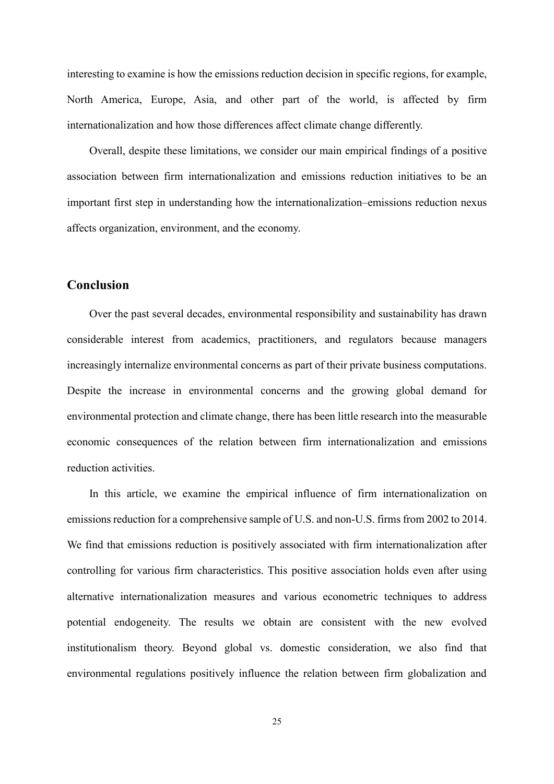interesting to examine is how the emissions reduction decision in specific regions, for example, North America, Europe, Asia, and other part of the world, is affected by firm internationalization and how those differences affect climate change differently.

Overall, despite these limitations, we consider our main empirical findings of a positive association between firm internationalization and emissions reduction initiatives to be an important first step in understanding how the internationalization–emissions reduction nexus affects organization, environment, and the economy.

# **Conclusion**

Over the past several decades, environmental responsibility and sustainability has drawn considerable interest from academics, practitioners, and regulators because managers increasingly internalize environmental concerns as part of their private business computations. Despite the increase in environmental concerns and the growing global demand for environmental protection and climate change, there has been little research into the measurable economic consequences of the relation between firm internationalization and emissions reduction activities.

In this article, we examine the empirical influence of firm internationalization on emissions reduction for a comprehensive sample of U.S. and non-U.S. firms from 2002 to 2014. We find that emissions reduction is positively associated with firm internationalization after controlling for various firm characteristics. This positive association holds even after using alternative internationalization measures and various econometric techniques to address potential endogeneity. The results we obtain are consistent with the new evolved institutionalism theory. Beyond global vs. domestic consideration, we also find that environmental regulations positively influence the relation between firm globalization and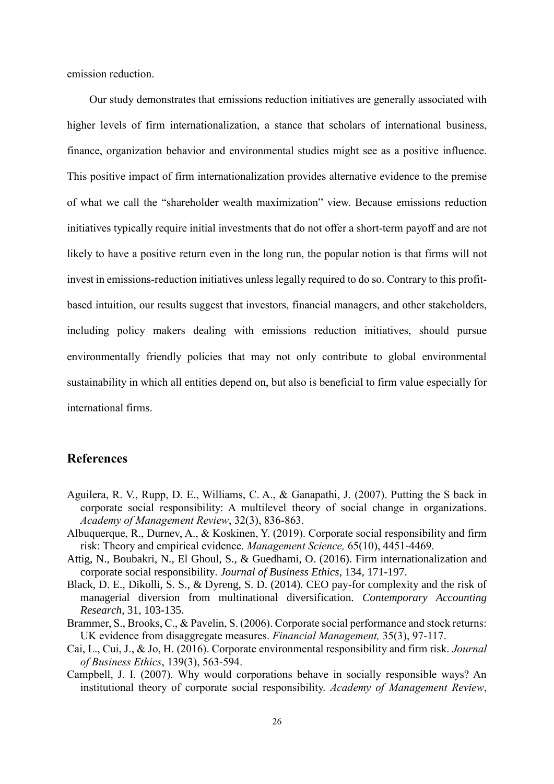emission reduction.

Our study demonstrates that emissions reduction initiatives are generally associated with higher levels of firm internationalization, a stance that scholars of international business, finance, organization behavior and environmental studies might see as a positive influence. This positive impact of firm internationalization provides alternative evidence to the premise of what we call the "shareholder wealth maximization" view. Because emissions reduction initiatives typically require initial investments that do not offer a short-term payoff and are not likely to have a positive return even in the long run, the popular notion is that firms will not invest in emissions-reduction initiatives unless legally required to do so. Contrary to this profitbased intuition, our results suggest that investors, financial managers, and other stakeholders, including policy makers dealing with emissions reduction initiatives, should pursue environmentally friendly policies that may not only contribute to global environmental sustainability in which all entities depend on, but also is beneficial to firm value especially for international firms.

## **References**

- Aguilera, R. V., Rupp, D. E., Williams, C. A., & Ganapathi, J. (2007). Putting the S back in corporate social responsibility: A multilevel theory of social change in organizations. *Academy of Management Review*, 32(3), 836-863.
- Albuquerque, R., Durnev, A., & Koskinen, Y. (2019). Corporate social responsibility and firm risk: Theory and empirical evidence. *Management Science,* 65(10), 4451-4469.
- Attig, N., Boubakri, N., El Ghoul, S., & Guedhami, O. (2016). Firm internationalization and corporate social responsibility. *Journal of Business Ethics,* 134, 171-197.
- Black, D. E., Dikolli, S. S., & Dyreng, S. D. (2014). CEO pay-for complexity and the risk of managerial diversion from multinational diversification. *Contemporary Accounting Research,* 31, 103-135.
- Brammer, S., Brooks, C., & Pavelin, S. (2006). Corporate social performance and stock returns: UK evidence from disaggregate measures. *Financial Management,* 35(3), 97-117.
- Cai, L., Cui, J., & Jo, H. (2016). Corporate environmental responsibility and firm risk. *Journal of Business Ethics*, 139(3), 563-594.
- Campbell, J. I. (2007). Why would corporations behave in socially responsible ways? An institutional theory of corporate social responsibility. *Academy of Management Review*,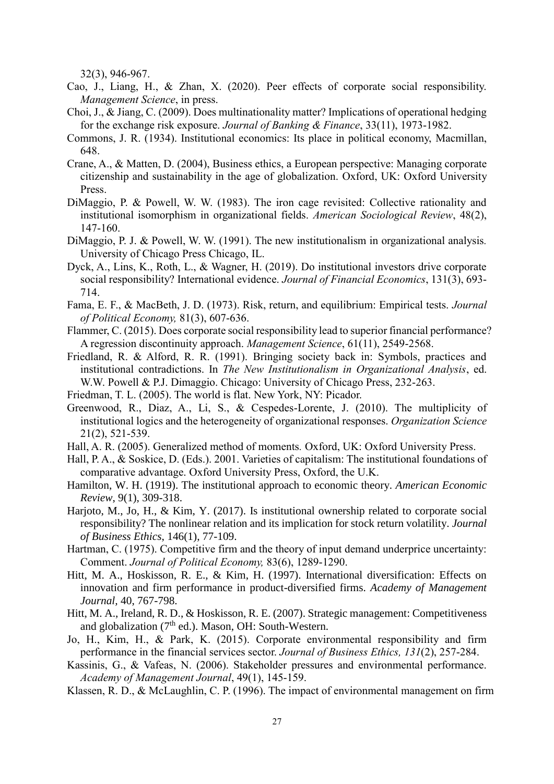32(3), 946-967.

- Cao, J., Liang, H., & Zhan, X. (2020). Peer effects of corporate social responsibility. *Management Science*, in press.
- Choi, J., & Jiang, C. (2009). Does multinationality matter? Implications of operational hedging for the exchange risk exposure. *Journal of Banking & Finance*, 33(11), 1973-1982.
- Commons, J. R. (1934). Institutional economics: Its place in political economy, Macmillan, 648.
- Crane, A., & Matten, D. (2004), Business ethics, a European perspective: Managing corporate citizenship and sustainability in the age of globalization. Oxford, UK: Oxford University Press.
- DiMaggio, P. & Powell, W. W. (1983). The iron cage revisited: Collective rationality and institutional isomorphism in organizational fields. *American Sociological Review*, 48(2), 147-160.
- DiMaggio, P. J. & Powell, W. W. (1991). The new institutionalism in organizational analysis*.* University of Chicago Press Chicago, IL.
- Dyck, A., Lins, K., Roth, L., & Wagner, H. (2019). Do institutional investors drive corporate social responsibility? International evidence. *Journal of Financial Economics*, 131(3), 693- 714.
- Fama, E. F., & MacBeth, J. D. (1973). Risk, return, and equilibrium: Empirical tests. *Journal of Political Economy,* 81(3), 607-636.
- Flammer, C. (2015). Does corporate social responsibility lead to superior financial performance? A regression discontinuity approach. *Management Science*, 61(11), 2549-2568.
- Friedland, R. & Alford, R. R. (1991). Bringing society back in: Symbols, practices and institutional contradictions. In *The New Institutionalism in Organizational Analysis*, ed. W.W. Powell & P.J. Dimaggio. Chicago: University of Chicago Press, 232-263.
- Friedman, T. L. (2005). The world is flat. New York, NY: Picador.
- Greenwood, R., Diaz, A., Li, S., & Cespedes-Lorente, J. (2010). The multiplicity of institutional logics and the heterogeneity of organizational responses. *Organization Science* 21(2), 521-539.
- Hall, A. R. (2005). Generalized method of moments*.* Oxford, UK: Oxford University Press.
- Hall, P. A., & Soskice, D. (Eds.). 2001. Varieties of capitalism: The institutional foundations of comparative advantage. Oxford University Press, Oxford, the U.K.
- Hamilton, W. H. (1919). The institutional approach to economic theory. *American Economic Review*, 9(1), 309-318.
- Harjoto, M., Jo, H., & Kim, Y. (2017). Is institutional ownership related to corporate social responsibility? The nonlinear relation and its implication for stock return volatility. *Journal of Business Ethics*, 146(1), 77-109.
- Hartman, C. (1975). Competitive firm and the theory of input demand underprice uncertainty: Comment. *Journal of Political Economy,* 83(6), 1289-1290.
- Hitt, M. A., Hoskisson, R. E., & Kim, H. (1997). International diversification: Effects on innovation and firm performance in product-diversified firms. *Academy of Management Journal,* 40, 767-798.
- Hitt, M. A., Ireland, R. D., & Hoskisson, R. E. (2007). Strategic management: Competitiveness and globalization  $(7<sup>th</sup>$  ed.). Mason, OH: South-Western.
- Jo, H., Kim, H., & Park, K. (2015). Corporate environmental responsibility and firm performance in the financial services sector. *Journal of Business Ethics, 131*(2), 257-284.
- Kassinis, G., & Vafeas, N. (2006). Stakeholder pressures and environmental performance. *Academy of Management Journal*, 49(1), 145-159.
- Klassen, R. D., & McLaughlin, C. P. (1996). The impact of environmental management on firm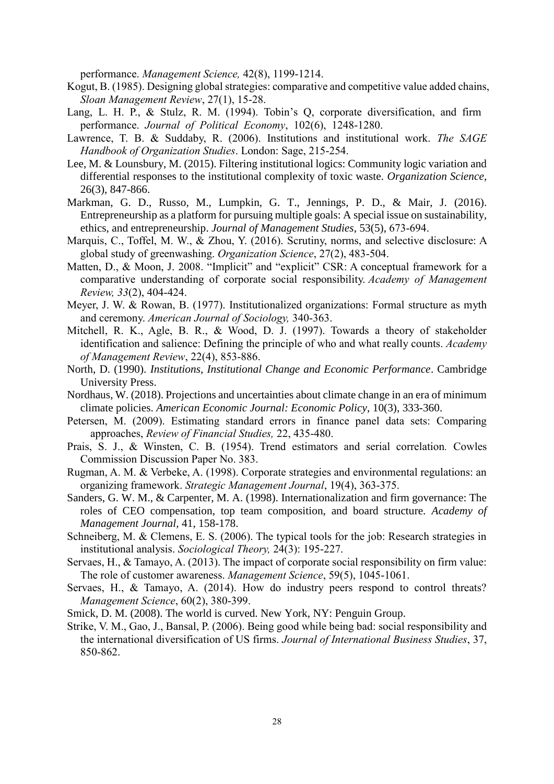performance. *Management Science,* 42(8), 1199-1214.

- Kogut, B. (1985). Designing global strategies: comparative and competitive value added chains, *Sloan Management Review*, 27(1), 15-28.
- Lang, L. H. P., & Stulz, R. M. (1994). Tobin's Q, corporate diversification, and firm performance. *Journal of Political Economy*, 102(6), 1248-1280.
- Lawrence, T. B. & Suddaby, R. (2006). Institutions and institutional work. *The SAGE Handbook of Organization Studies*. London: Sage, 215-254.
- Lee, M. & Lounsbury, M. (2015). Filtering institutional logics: Community logic variation and differential responses to the institutional complexity of toxic waste. *Organization Science*, 26(3), 847-866.
- Markman, G. D., Russo, M., Lumpkin, G. T., Jennings, P. D., & Mair, J. (2016). Entrepreneurship as a platform for pursuing multiple goals: A special issue on sustainability, ethics, and entrepreneurship. *Journal of Management Studies*, 53(5), 673-694.
- Marquis, C., Toffel, M. W., & Zhou, Y. (2016). Scrutiny, norms, and selective disclosure: A global study of greenwashing. *Organization Science*, 27(2), 483-504.
- Matten, D., & Moon, J. 2008. "Implicit" and "explicit" CSR: A conceptual framework for a comparative understanding of corporate social responsibility. *Academy of Management Review, 33*(2), 404-424.
- Meyer, J. W. & Rowan, B. (1977). Institutionalized organizations: Formal structure as myth and ceremony. *American Journal of Sociology,* 340-363.
- Mitchell, R. K., Agle, B. R., & Wood, D. J. (1997). Towards a theory of stakeholder identification and salience: Defining the principle of who and what really counts. *Academy of Management Review*, 22(4), 853-886.
- North, D. (1990). *Institutions, Institutional Change and Economic Performance*. Cambridge University Press.
- Nordhaus, W. (2018). Projections and uncertainties about climate change in an era of minimum climate policies. *American Economic Journal: Economic Policy*, 10(3), 333-360.
- Petersen, M. (2009). Estimating standard errors in finance panel data sets: Comparing approaches, *Review of Financial Studies,* 22, 435-480.
- Prais, S. J., & Winsten, C. B. (1954). [Trend estimators and serial correlation](http://cowles.econ.yale.edu/P/ccdp/st/s-0383.pdf)*.* Cowles Commission Discussion Paper No. 383.
- Rugman, A. M. & Verbeke, A. (1998). Corporate strategies and environmental regulations: an organizing framework. *Strategic Management Journal*, 19(4), 363-375.
- Sanders, G. W. M., & Carpenter, M. A. (1998). Internationalization and firm governance: The roles of CEO compensation, top team composition, and board structure. *Academy of Management Journal,* 41, 158-178.
- Schneiberg, M. & Clemens, E. S. (2006). The typical tools for the job: Research strategies in institutional analysis. *Sociological Theory,* 24(3): 195-227.
- Servaes, H., & Tamayo, A. (2013). The impact of corporate social responsibility on firm value: The role of customer awareness. *Management Science*, 59(5), 1045-1061.
- Servaes, H., & Tamayo, A. (2014). How do industry peers respond to control threats? *Management Science*, 60(2), 380-399.
- Smick, D. M. (2008). The world is curved. New York, NY: Penguin Group.
- Strike, V. M., Gao, J., Bansal, P. (2006). Being good while being bad: social responsibility and the international diversification of US firms. *Journal of International Business Studies*, 37, 850-862.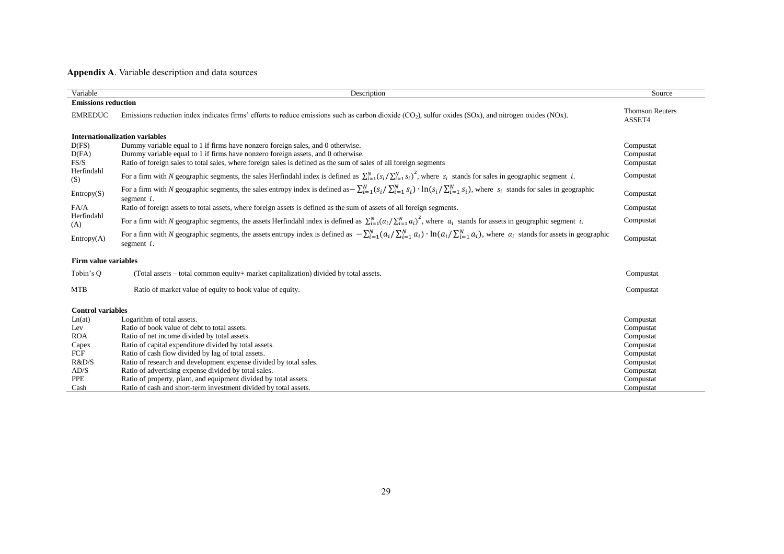# **Appendix A**. Variable description and data sources

| Variable                    | Description                                                                                                                                                                                                                   | Source                           |
|-----------------------------|-------------------------------------------------------------------------------------------------------------------------------------------------------------------------------------------------------------------------------|----------------------------------|
| <b>Emissions reduction</b>  |                                                                                                                                                                                                                               |                                  |
| <b>EMREDUC</b>              | Emissions reduction index indicates firms' efforts to reduce emissions such as carbon dioxide $(CO2)$ , sulfur oxides $(SOx)$ , and nitrogen oxides $(NOx)$ .                                                                 | <b>Thomson Reuters</b><br>ASSET4 |
|                             | <b>Internationalization variables</b>                                                                                                                                                                                         |                                  |
| D(FS)                       | Dummy variable equal to 1 if firms have nonzero foreign sales, and 0 otherwise.                                                                                                                                               | Compustat                        |
| D(FA)                       | Dummy variable equal to 1 if firms have nonzero foreign assets, and 0 otherwise.                                                                                                                                              | Compustat                        |
| FS/S                        | Ratio of foreign sales to total sales, where foreign sales is defined as the sum of sales of all foreign segments                                                                                                             | Compustat                        |
| Herfindahl<br>(S)           | For a firm with N geographic segments, the sales Herfindahl index is defined as $\sum_{i=1}^{N} (s_i / \sum_{i=1}^{N} s_i)^2$ , where $s_i$ stands for sales in geographic segment <i>i</i> .                                 | Compustat                        |
| Entropy(S)                  | For a firm with N geographic segments, the sales entropy index is defined as $-\sum_{i=1}^{N} (s_i/\sum_{i=1}^{N} s_i) \cdot \ln(s_i/\sum_{i=1}^{N} s_i)$ , where $s_i$ stands for sales in geographic<br>segment $i$ .       | Compustat                        |
| FA/A                        | Ratio of foreign assets to total assets, where foreign assets is defined as the sum of assets of all foreign segments.                                                                                                        | Compustat                        |
| Herfindahl<br>(A)           | For a firm with N geographic segments, the assets Herfindahl index is defined as $\sum_{i=1}^{N} (a_i/\sum_{i=1}^{N} a_i)^2$ , where $a_i$ stands for assets in geographic segment i.                                         | Compustat                        |
| Entropy(A)                  | For a firm with N geographic segments, the assets entropy index is defined as $-\sum_{i=1}^{N} (a_i / \sum_{i=1}^{N} a_i) \cdot \ln(a_i / \sum_{i=1}^{N} a_i)$ , where $a_i$ stands for assets in geographic<br>segment $i$ . | Compustat                        |
| <b>Firm value variables</b> |                                                                                                                                                                                                                               |                                  |
| Tobin's Q                   | (Total assets – total common equity+ market capitalization) divided by total assets.                                                                                                                                          | Compustat                        |
| <b>MTB</b>                  | Ratio of market value of equity to book value of equity.                                                                                                                                                                      | Compustat                        |
| <b>Control variables</b>    |                                                                                                                                                                                                                               |                                  |
| Ln(at)                      | Logarithm of total assets.                                                                                                                                                                                                    | Compustat                        |
| Lev                         | Ratio of book value of debt to total assets.                                                                                                                                                                                  | Compustat                        |
| <b>ROA</b>                  | Ratio of net income divided by total assets.                                                                                                                                                                                  | Compustat                        |
| Capex                       | Ratio of capital expenditure divided by total assets.                                                                                                                                                                         | Compustat                        |
| FCF                         | Ratio of cash flow divided by lag of total assets.                                                                                                                                                                            | Compustat                        |
| R&D/S                       | Ratio of research and development expense divided by total sales.                                                                                                                                                             | Compustat                        |
| AD/S                        | Ratio of advertising expense divided by total sales.                                                                                                                                                                          | Compustat                        |
| PPE                         | Ratio of property, plant, and equipment divided by total assets.                                                                                                                                                              | Compustat                        |
| Cash                        | Ratio of cash and short-term investment divided by total assets.                                                                                                                                                              | Compustat                        |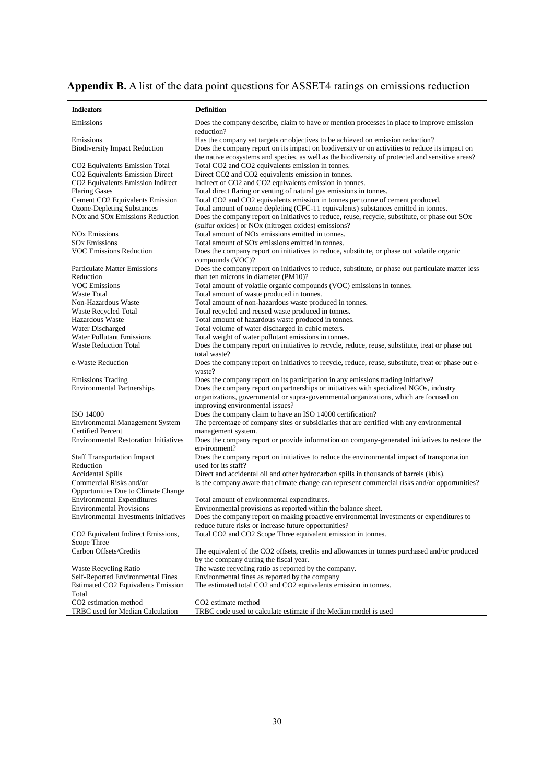| <b>Appendix B.</b> A list of the data point questions for ASSET4 ratings on emissions reduction |  |  |  |  |
|-------------------------------------------------------------------------------------------------|--|--|--|--|
|                                                                                                 |  |  |  |  |

| Indicators                                                                       | Definition                                                                                                                                                                      |
|----------------------------------------------------------------------------------|---------------------------------------------------------------------------------------------------------------------------------------------------------------------------------|
| Emissions                                                                        | Does the company describe, claim to have or mention processes in place to improve emission                                                                                      |
|                                                                                  | reduction?                                                                                                                                                                      |
| Emissions                                                                        | Has the company set targets or objectives to be achieved on emission reduction?                                                                                                 |
| <b>Biodiversity Impact Reduction</b>                                             | Does the company report on its impact on biodiversity or on activities to reduce its impact on                                                                                  |
|                                                                                  | the native ecosystems and species, as well as the biodiversity of protected and sensitive areas?                                                                                |
| CO <sub>2</sub> Equivalents Emission Total                                       | Total CO2 and CO2 equivalents emission in tonnes.                                                                                                                               |
| CO2 Equivalents Emission Direct<br>CO <sub>2</sub> Equivalents Emission Indirect | Direct CO2 and CO2 equivalents emission in tonnes.<br>Indirect of CO2 and CO2 equivalents emission in tonnes.                                                                   |
| <b>Flaring Gases</b>                                                             | Total direct flaring or venting of natural gas emissions in tonnes.                                                                                                             |
| Cement CO2 Equivalents Emission                                                  | Total CO2 and CO2 equivalents emission in tonnes per tonne of cement produced.                                                                                                  |
| <b>Ozone-Depleting Substances</b>                                                | Total amount of ozone depleting (CFC-11 equivalents) substances emitted in tonnes.                                                                                              |
| NO <sub>x</sub> and SO <sub>x</sub> Emissions Reduction                          | Does the company report on initiatives to reduce, reuse, recycle, substitute, or phase out SOx                                                                                  |
|                                                                                  | (sulfur oxides) or NO <sub>x</sub> (nitrogen oxides) emissions?                                                                                                                 |
| <b>NO<sub>x</sub></b> Emissions                                                  | Total amount of NO <sub>x</sub> emissions emitted in tonnes.                                                                                                                    |
| <b>SO<sub>x</sub></b> Emissions                                                  | Total amount of SO <sub>x</sub> emissions emitted in tonnes.                                                                                                                    |
| <b>VOC Emissions Reduction</b>                                                   | Does the company report on initiatives to reduce, substitute, or phase out volatile organic                                                                                     |
|                                                                                  | compounds (VOC)?                                                                                                                                                                |
| <b>Particulate Matter Emissions</b>                                              | Does the company report on initiatives to reduce, substitute, or phase out particulate matter less                                                                              |
| Reduction<br><b>VOC Emissions</b>                                                | than ten microns in diameter (PM10)?<br>Total amount of volatile organic compounds (VOC) emissions in tonnes.                                                                   |
| <b>Waste Total</b>                                                               | Total amount of waste produced in tonnes.                                                                                                                                       |
| Non-Hazardous Waste                                                              | Total amount of non-hazardous waste produced in tonnes.                                                                                                                         |
| Waste Recycled Total                                                             | Total recycled and reused waste produced in tonnes.                                                                                                                             |
| Hazardous Waste                                                                  | Total amount of hazardous waste produced in tonnes.                                                                                                                             |
| Water Discharged                                                                 | Total volume of water discharged in cubic meters.                                                                                                                               |
| <b>Water Pollutant Emissions</b>                                                 | Total weight of water pollutant emissions in tonnes.                                                                                                                            |
| <b>Waste Reduction Total</b>                                                     | Does the company report on initiatives to recycle, reduce, reuse, substitute, treat or phase out                                                                                |
|                                                                                  | total waste?                                                                                                                                                                    |
| e-Waste Reduction                                                                | Does the company report on initiatives to recycle, reduce, reuse, substitute, treat or phase out e-                                                                             |
|                                                                                  | waste?                                                                                                                                                                          |
| <b>Emissions Trading</b>                                                         | Does the company report on its participation in any emissions trading initiative?                                                                                               |
| <b>Environmental Partnerships</b>                                                | Does the company report on partnerships or initiatives with specialized NGOs, industry<br>organizations, governmental or supra-governmental organizations, which are focused on |
|                                                                                  | improving environmental issues?                                                                                                                                                 |
| <b>ISO 14000</b>                                                                 | Does the company claim to have an ISO 14000 certification?                                                                                                                      |
| <b>Environmental Management System</b>                                           | The percentage of company sites or subsidiaries that are certified with any environmental                                                                                       |
| <b>Certified Percent</b>                                                         | management system.                                                                                                                                                              |
| <b>Environmental Restoration Initiatives</b>                                     | Does the company report or provide information on company-generated initiatives to restore the                                                                                  |
|                                                                                  | environment?                                                                                                                                                                    |
| <b>Staff Transportation Impact</b>                                               | Does the company report on initiatives to reduce the environmental impact of transportation                                                                                     |
| Reduction                                                                        | used for its staff?                                                                                                                                                             |
| <b>Accidental Spills</b>                                                         | Direct and accidental oil and other hydrocarbon spills in thousands of barrels (kbls).                                                                                          |
| Commercial Risks and/or                                                          | Is the company aware that climate change can represent commercial risks and/or opportunities?                                                                                   |
| Opportunities Due to Climate Change                                              |                                                                                                                                                                                 |
| <b>Environmental Expenditures</b><br><b>Environmental Provisions</b>             | Total amount of environmental expenditures.<br>Environmental provisions as reported within the balance sheet.                                                                   |
| <b>Environmental Investments Initiatives</b>                                     | Does the company report on making proactive environmental investments or expenditures to                                                                                        |
|                                                                                  | reduce future risks or increase future opportunities?                                                                                                                           |
| CO2 Equivalent Indirect Emissions,                                               | Total CO2 and CO2 Scope Three equivalent emission in tonnes.                                                                                                                    |
| Scope Three                                                                      |                                                                                                                                                                                 |
| Carbon Offsets/Credits                                                           | The equivalent of the CO2 offsets, credits and allowances in tonnes purchased and/or produced                                                                                   |
|                                                                                  | by the company during the fiscal year.                                                                                                                                          |
| Waste Recycling Ratio                                                            | The waste recycling ratio as reported by the company.                                                                                                                           |
| Self-Reported Environmental Fines                                                | Environmental fines as reported by the company                                                                                                                                  |
| <b>Estimated CO2 Equivalents Emission</b>                                        | The estimated total CO2 and CO2 equivalents emission in tonnes.                                                                                                                 |
| Total                                                                            |                                                                                                                                                                                 |
| CO2 estimation method                                                            | CO <sub>2</sub> estimate method                                                                                                                                                 |
| TRBC used for Median Calculation                                                 | TRBC code used to calculate estimate if the Median model is used                                                                                                                |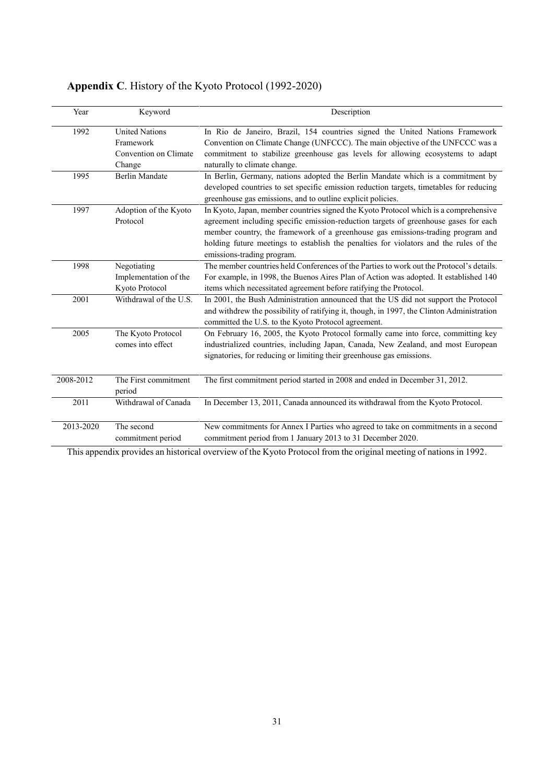| Year      | Keyword                                                               | Description                                                                                                                                                                                                                                                                                                                                                                            |
|-----------|-----------------------------------------------------------------------|----------------------------------------------------------------------------------------------------------------------------------------------------------------------------------------------------------------------------------------------------------------------------------------------------------------------------------------------------------------------------------------|
| 1992      | <b>United Nations</b><br>Framework<br>Convention on Climate<br>Change | In Rio de Janeiro, Brazil, 154 countries signed the United Nations Framework<br>Convention on Climate Change (UNFCCC). The main objective of the UNFCCC was a<br>commitment to stabilize greenhouse gas levels for allowing ecosystems to adapt<br>naturally to climate change.                                                                                                        |
| 1995      | <b>Berlin Mandate</b>                                                 | In Berlin, Germany, nations adopted the Berlin Mandate which is a commitment by<br>developed countries to set specific emission reduction targets, timetables for reducing<br>greenhouse gas emissions, and to outline explicit policies.                                                                                                                                              |
| 1997      | Adoption of the Kyoto<br>Protocol                                     | In Kyoto, Japan, member countries signed the Kyoto Protocol which is a comprehensive<br>agreement including specific emission-reduction targets of greenhouse gases for each<br>member country, the framework of a greenhouse gas emissions-trading program and<br>holding future meetings to establish the penalties for violators and the rules of the<br>emissions-trading program. |
| 1998      | Negotiating<br>Implementation of the<br>Kyoto Protocol                | The member countries held Conferences of the Parties to work out the Protocol's details.<br>For example, in 1998, the Buenos Aires Plan of Action was adopted. It established 140<br>items which necessitated agreement before ratifying the Protocol.                                                                                                                                 |
| 2001      | Withdrawal of the U.S.                                                | In 2001, the Bush Administration announced that the US did not support the Protocol<br>and withdrew the possibility of ratifying it, though, in 1997, the Clinton Administration<br>committed the U.S. to the Kyoto Protocol agreement.                                                                                                                                                |
| 2005      | The Kyoto Protocol<br>comes into effect                               | On February 16, 2005, the Kyoto Protocol formally came into force, committing key<br>industrialized countries, including Japan, Canada, New Zealand, and most European<br>signatories, for reducing or limiting their greenhouse gas emissions.                                                                                                                                        |
| 2008-2012 | The First commitment<br>period                                        | The first commitment period started in 2008 and ended in December 31, 2012.                                                                                                                                                                                                                                                                                                            |
| 2011      | Withdrawal of Canada                                                  | In December 13, 2011, Canada announced its withdrawal from the Kyoto Protocol.                                                                                                                                                                                                                                                                                                         |
| 2013-2020 | The second<br>commitment period                                       | New commitments for Annex I Parties who agreed to take on commitments in a second<br>commitment period from 1 January 2013 to 31 December 2020.                                                                                                                                                                                                                                        |

# **Appendix C**. History of the Kyoto Protocol (1992-2020)

This appendix provides an historical overview of the Kyoto Protocol from the original meeting of nations in 1992.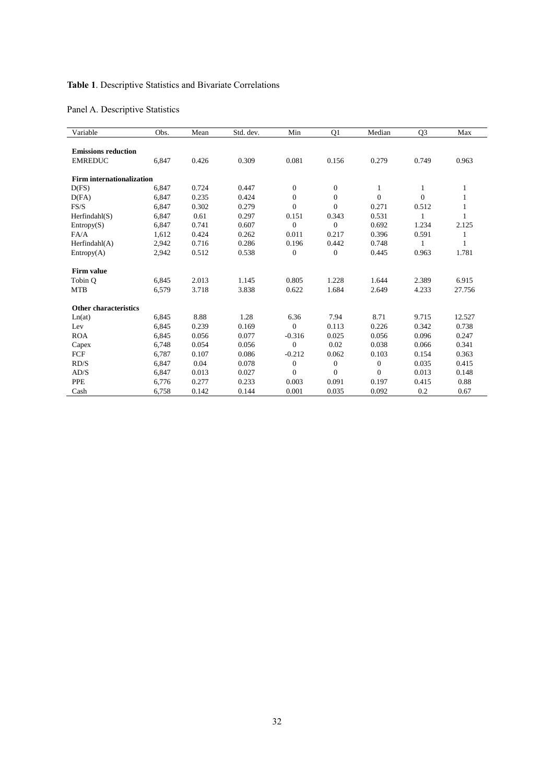# **Table 1**. Descriptive Statistics and Bivariate Correlations

# Panel A. Descriptive Statistics

| Variable                         | Obs.  | Mean  | Std. dev. | Min          | Q1               | Median       | Q <sub>3</sub><br>Max |        |
|----------------------------------|-------|-------|-----------|--------------|------------------|--------------|-----------------------|--------|
|                                  |       |       |           |              |                  |              |                       |        |
| <b>Emissions reduction</b>       |       |       |           |              |                  |              |                       |        |
| <b>EMREDUC</b>                   | 6,847 | 0.426 | 0.309     | 0.081        | 0.156            | 0.279        | 0.749                 | 0.963  |
| <b>Firm internationalization</b> |       |       |           |              |                  |              |                       |        |
| D(FS)                            | 6,847 | 0.724 | 0.447     | $\theta$     | $\mathbf{0}$     | 1            | 1                     |        |
| D(FA)                            | 6,847 | 0.235 | 0.424     | $\mathbf{0}$ | $\boldsymbol{0}$ | $\Omega$     | $\Omega$              |        |
| FS/S                             | 6,847 | 0.302 | 0.279     | $\mathbf{0}$ | $\mathbf{0}$     | 0.271        | 0.512                 |        |
| Herfindahl(S)                    | 6,847 | 0.61  | 0.297     | 0.151        | 0.343            | 0.531        |                       |        |
| Entropy(S)                       | 6,847 | 0.741 | 0.607     | $\Omega$     | $\mathbf{0}$     | 0.692        | 1.234                 | 2.125  |
| FA/A                             | 1.612 | 0.424 | 0.262     | 0.011        | 0.217            | 0.396        | 0.591                 | 1      |
| Herfindahl(A)                    | 2,942 | 0.716 | 0.286     | 0.196        | 0.442            | 0.748        | 1                     | 1      |
| Entropy(A)                       | 2,942 | 0.512 | 0.538     | $\mathbf{0}$ | $\mathbf{0}$     | 0.445        | 0.963                 | 1.781  |
| <b>Firm value</b>                |       |       |           |              |                  |              |                       |        |
| Tobin O                          | 6,845 | 2.013 | 1.145     | 0.805        | 1.228            | 1.644        | 2.389                 | 6.915  |
| <b>MTB</b>                       | 6,579 | 3.718 | 3.838     | 0.622        | 1.684            | 2.649        | 4.233                 | 27.756 |
| Other characteristics            |       |       |           |              |                  |              |                       |        |
| Ln(at)                           | 6,845 | 8.88  | 1.28      | 6.36         | 7.94             | 8.71         | 9.715                 | 12.527 |
| Lev                              | 6,845 | 0.239 | 0.169     | $\Omega$     | 0.113            | 0.226        | 0.342                 | 0.738  |
| <b>ROA</b>                       | 6,845 | 0.056 | 0.077     | $-0.316$     | 0.025            | 0.056        | 0.096                 | 0.247  |
| Capex                            | 6,748 | 0.054 | 0.056     | $\mathbf{0}$ | 0.02             | 0.038        | 0.066                 | 0.341  |
| FCF                              | 6,787 | 0.107 | 0.086     | $-0.212$     | 0.062            | 0.103        | 0.154                 | 0.363  |
| RD/S                             | 6,847 | 0.04  | 0.078     | $\mathbf{0}$ | $\mathbf{0}$     | $\mathbf{0}$ | 0.035                 | 0.415  |
| AD/S                             | 6,847 | 0.013 | 0.027     | $\Omega$     | $\mathbf{0}$     | $\Omega$     | 0.013                 | 0.148  |
| <b>PPE</b>                       | 6,776 | 0.277 | 0.233     | 0.003        | 0.091            | 0.197        | 0.415                 | 0.88   |
| Cash                             | 6.758 | 0.142 | 0.144     | 0.001        | 0.035            | 0.092        | 0.2                   | 0.67   |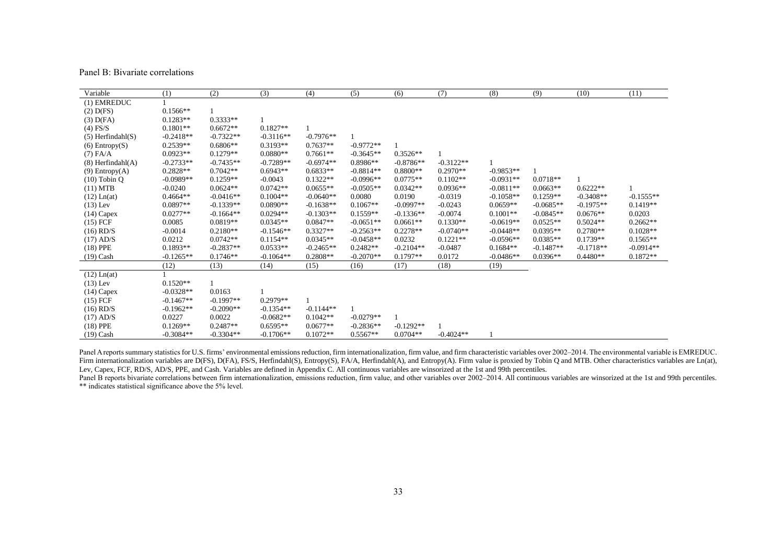Panel B: Bivariate correlations

| Variable               | (1)         | (2)         | (3)         | (4)         | (5)         | (6)         | (7)         | (8)         | (9)         | (10)        | (11)        |
|------------------------|-------------|-------------|-------------|-------------|-------------|-------------|-------------|-------------|-------------|-------------|-------------|
| (1) EMREDUC            |             |             |             |             |             |             |             |             |             |             |             |
| $(2)$ D(FS)            | $0.1566**$  |             |             |             |             |             |             |             |             |             |             |
| $(3)$ D(FA)            | $0.1283**$  | $0.3333**$  |             |             |             |             |             |             |             |             |             |
| $(4)$ FS/S             | $0.1801**$  | $0.6672**$  | $0.1827**$  |             |             |             |             |             |             |             |             |
| $(5)$ Herfindahl $(S)$ | $-0.2418**$ | $-0.7322**$ | $-0.3116**$ | $-0.7976**$ |             |             |             |             |             |             |             |
| $(6)$ Entropy $(S)$    | $0.2539**$  | $0.6806**$  | $0.3193**$  | $0.7637**$  | $-0.9772**$ |             |             |             |             |             |             |
| $(7)$ FA/A             | $0.0923**$  | $0.1279**$  | $0.0880**$  | $0.7661**$  | $-0.3645**$ | $0.3526**$  |             |             |             |             |             |
| $(8)$ Herfindahl $(A)$ | $-0.2733**$ | $-0.7435**$ | $-0.7289**$ | $-0.6974**$ | $0.8986**$  | $-0.8786**$ | $-0.3122**$ |             |             |             |             |
| (9) Entropy(A)         | $0.2828**$  | $0.7042**$  | $0.6943**$  | $0.6833**$  | $-0.8814**$ | 0.8800**    | $0.2970**$  | $-0.9853**$ |             |             |             |
| $(10)$ Tobin Q         | $-0.0989**$ | $0.1259**$  | $-0.0043$   | $0.1322**$  | $-0.0996**$ | $0.0775**$  | $0.1102**$  | $-0.0931**$ | $0.0718**$  |             |             |
| (11) MTB               | $-0.0240$   | $0.0624**$  | $0.0742**$  | $0.0655**$  | $-0.0505**$ | $0.0342**$  | $0.0936**$  | $-0.0811**$ | $0.0663**$  | $0.6222**$  |             |
| $(12)$ Ln $(at)$       | $0.4664**$  | $-0.0416**$ | $0.1004**$  | $-0.0640**$ | 0.0080      | 0.0190      | $-0.0319$   | $-0.1058**$ | $0.1259**$  | $-0.3408**$ | $-0.1555**$ |
| $(13)$ Lev             | $0.0897**$  | $-0.1339**$ | $0.0890**$  | $-0.1638**$ | $0.1067**$  | $-0.0997**$ | $-0.0243$   | $0.0659**$  | $-0.0685**$ | $-0.1975**$ | $0.1419**$  |
| $(14)$ Capex           | $0.0277**$  | $-0.1664**$ | $0.0294**$  | $-0.1303**$ | $0.1559**$  | $-0.1336**$ | $-0.0074$   | $0.1001**$  | $-0.0845**$ | $0.0676**$  | 0.0203      |
| $(15)$ FCF             | 0.0085      | $0.0819**$  | $0.0345**$  | $0.0847**$  | $-0.0651**$ | $0.0661**$  | $0.1330**$  | $-0.0619**$ | $0.0525**$  | $0.5024**$  | $0.2662**$  |
| $(16)$ RD/S            | $-0.0014$   | $0.2180**$  | $-0.1546**$ | $0.3327**$  | $-0.2563**$ | $0.2278**$  | $-0.0740**$ | $-0.0448**$ | $0.0395**$  | $0.2780**$  | $0.1028**$  |
| $(17)$ AD/S            | 0.0212      | $0.0742**$  | $0.1154**$  | $0.0345**$  | $-0.0458**$ | 0.0232      | $0.1221**$  | $-0.0596**$ | $0.0385**$  | $0.1739**$  | $0.1565**$  |
| $(18)$ PPE             | $0.1893**$  | $-0.2837**$ | $0.0533**$  | $-0.2465**$ | $0.2482**$  | $-0.2104**$ | $-0.0487$   | $0.1684**$  | $-0.1487**$ | $-0.1718**$ | $-0.0914**$ |
| $(19)$ Cash            | $-0.1265**$ | $0.1746**$  | $-0.1064**$ | $0.2808**$  | $-0.2070**$ | $0.1797**$  | 0.0172      | $-0.0486**$ | $0.0396**$  | $0.4480**$  | $0.1872**$  |
|                        | (12)        | (13)        | (14)        | (15)        | (16)        | (17)        | (18)        | (19)        |             |             |             |
| $(12)$ Ln(at)          |             |             |             |             |             |             |             |             |             |             |             |
| $(13)$ Lev             | $0.1520**$  |             |             |             |             |             |             |             |             |             |             |
| $(14)$ Capex           | $-0.0328**$ | 0.0163      |             |             |             |             |             |             |             |             |             |
| $(15)$ FCF             | $-0.1467**$ | $-0.1997**$ | $0.2979**$  |             |             |             |             |             |             |             |             |
| $(16)$ RD/S            | $-0.1962**$ | $-0.2090**$ | $-0.1354**$ | $-0.1144**$ |             |             |             |             |             |             |             |
| $(17)$ AD/S            | 0.0227      | 0.0022      | $-0.0682**$ | $0.1042**$  | $-0.0279**$ |             |             |             |             |             |             |
| $(18)$ PPE             | $0.1269**$  | $0.2487**$  | $0.6595**$  | $0.0677**$  | $-0.2836**$ | $-0.1292**$ |             |             |             |             |             |
| $(19)$ Cash            | $-0.3084**$ | $-0.3304**$ | $-0.1706**$ | $0.1072**$  | $0.5567**$  | $0.0704**$  | $-0.4024**$ |             |             |             |             |

Panel A reports summary statistics for U.S. firms' environmental emissions reduction, firm internationalization, firm value, and firm characteristic variables over 2002-2014. The environmental variable is EMREDUC. Firm internationalization variables are D(FS), D(FA), FS/S, Herfindahl(S), Entropy(S), FA/A, Herfindahl(A), and Entropy(A). Firm value is proxied by Tobin Q and MTB. Other characteristics variables are Ln(at), Lev, Capex, FCF, RD/S, AD/S, PPE, and Cash. Variables are defined in Appendix C. All continuous variables are winsorized at the 1st and 99th percentiles.

Panel B reports bivariate correlations between firm internationalization, emissions reduction, firm value, and other variables over 2002–2014. All continuous variables are winsorized at the 1st and 99th percentiles. \*\* indicates statistical significance above the 5% level.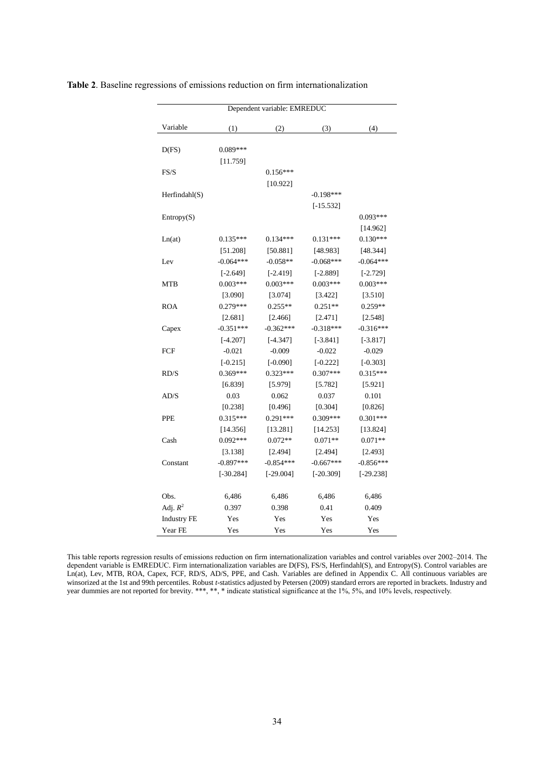| Dependent variable: EMREDUC |             |             |             |             |  |  |  |  |  |  |
|-----------------------------|-------------|-------------|-------------|-------------|--|--|--|--|--|--|
| Variable                    | (1)         | (2)         | (3)         | (4)         |  |  |  |  |  |  |
| D(FS)                       | $0.089***$  |             |             |             |  |  |  |  |  |  |
|                             | [11.759]    |             |             |             |  |  |  |  |  |  |
| FS/S                        |             | $0.156***$  |             |             |  |  |  |  |  |  |
|                             |             | [10.922]    |             |             |  |  |  |  |  |  |
| Herfindahl(S)               |             |             | $-0.198***$ |             |  |  |  |  |  |  |
|                             |             |             | $[-15.532]$ |             |  |  |  |  |  |  |
| Entropy(S)                  |             |             |             | $0.093***$  |  |  |  |  |  |  |
|                             |             |             |             | [14.962]    |  |  |  |  |  |  |
| Ln(at)                      | $0.135***$  | $0.134***$  | $0.131***$  | $0.130***$  |  |  |  |  |  |  |
|                             | [51.208]    | [50.881]    | [48.983]    | [48.344]    |  |  |  |  |  |  |
| Lev                         | $-0.064***$ | $-0.058**$  | $-0.068***$ | $-0.064***$ |  |  |  |  |  |  |
|                             | $[-2.649]$  | $[-2.419]$  | $[-2.889]$  | $[-2.729]$  |  |  |  |  |  |  |
| MTB                         | $0.003***$  | $0.003***$  | $0.003***$  | $0.003***$  |  |  |  |  |  |  |
|                             | [3.090]     | [3.074]     | [3.422]     | [3.510]     |  |  |  |  |  |  |
| <b>ROA</b>                  | $0.279***$  | $0.255**$   | $0.251**$   | $0.259**$   |  |  |  |  |  |  |
|                             | [2.681]     | [2.466]     | [2.471]     | [2.548]     |  |  |  |  |  |  |
| Capex                       | $-0.351***$ | $-0.362***$ | $-0.318***$ | $-0.316***$ |  |  |  |  |  |  |
|                             | $[-4.207]$  | $[-4.347]$  | $[-3.841]$  | $[-3.817]$  |  |  |  |  |  |  |
| <b>FCF</b>                  | $-0.021$    | $-0.009$    | $-0.022$    | $-0.029$    |  |  |  |  |  |  |
|                             | $[-0.215]$  | $[-0.090]$  | $[-0.222]$  | $[-0.303]$  |  |  |  |  |  |  |
| RD/S                        | $0.369***$  | $0.323***$  | $0.307***$  | $0.315***$  |  |  |  |  |  |  |
|                             | [6.839]     | [5.979]     | [5.782]     | [5.921]     |  |  |  |  |  |  |
| AD/S                        | 0.03        | 0.062       | 0.037       | 0.101       |  |  |  |  |  |  |
|                             | [0.238]     | [0.496]     | [0.304]     | [0.826]     |  |  |  |  |  |  |
| <b>PPE</b>                  | $0.315***$  | $0.291***$  | $0.309***$  | $0.301***$  |  |  |  |  |  |  |
|                             | [14.356]    | [13.281]    | [14.253]    | [13.824]    |  |  |  |  |  |  |
| Cash                        | $0.092***$  | $0.072**$   | $0.071**$   | $0.071**$   |  |  |  |  |  |  |
|                             | [3.138]     | [2.494]     | [2.494]     | [2.493]     |  |  |  |  |  |  |
| Constant                    | $-0.897***$ | $-0.854***$ | $-0.667***$ | $-0.856***$ |  |  |  |  |  |  |
|                             | $[-30.284]$ | $[-29.004]$ | $[-20.309]$ | $[-29.238]$ |  |  |  |  |  |  |
| Obs.                        | 6,486       | 6,486       | 6,486       | 6,486       |  |  |  |  |  |  |
| Adj. $R^2$                  | 0.397       | 0.398       | 0.41        | 0.409       |  |  |  |  |  |  |
| <b>Industry FE</b>          | Yes         | Yes         | Yes         | Yes         |  |  |  |  |  |  |
| Year FE                     | Yes         | Yes         | Yes         | Yes         |  |  |  |  |  |  |

**Table 2**. Baseline regressions of emissions reduction on firm internationalization

This table reports regression results of emissions reduction on firm internationalization variables and control variables over 2002–2014. The dependent variable is EMREDUC. Firm internationalization variables are D(FS), FS/S, Herfindahl(S), and Entropy(S). Control variables are Ln(at), Lev, MTB, ROA, Capex, FCF, RD/S, AD/S, PPE, and Cash. Variables are defined in Appendix C. All continuous variables are winsorized at the 1st and 99th percentiles. Robust *t*-statistics adjusted by Petersen (2009) standard errors are reported in brackets. Industry and year dummies are not reported for brevity. \*\*\*, \*\*, \* indicate statistical significance at the 1%, 5%, and 10% levels, respectively.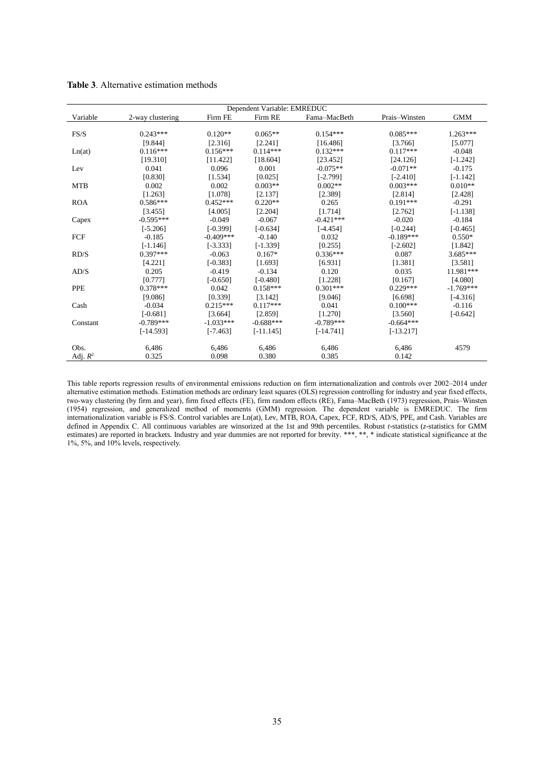|            | Dependent Variable: EMREDUC |             |             |              |               |             |  |  |  |  |
|------------|-----------------------------|-------------|-------------|--------------|---------------|-------------|--|--|--|--|
| Variable   | 2-way clustering            | Firm FE     | Firm RE     | Fama-MacBeth | Prais-Winsten | <b>GMM</b>  |  |  |  |  |
|            |                             |             |             |              |               |             |  |  |  |  |
| FS/S       | $0.243***$                  | $0.120**$   | $0.065**$   | $0.154***$   | $0.085***$    | $1.263***$  |  |  |  |  |
|            | [9.844]                     | [2.316]     | [2.241]     | [16.486]     | [3.766]       | [5.077]     |  |  |  |  |
| Ln(at)     | $0.116***$                  | $0.156***$  | $0.114***$  | $0.132***$   | $0.117***$    | $-0.048$    |  |  |  |  |
|            | [19.310]                    | [11.422]    | [18.604]    | [23.452]     | [24.126]      | $[-1.242]$  |  |  |  |  |
| Lev        | 0.041                       | 0.096       | 0.001       | $-0.075**$   | $-0.071**$    | $-0.175$    |  |  |  |  |
|            | [0.830]                     | [1.534]     | [0.025]     | $[-2.799]$   | $[-2.410]$    | $[-1.142]$  |  |  |  |  |
| <b>MTB</b> | 0.002                       | 0.002       | $0.003**$   | $0.002**$    | $0.003***$    | $0.010**$   |  |  |  |  |
|            | [1.263]                     | [1.078]     | [2.137]     | [2.389]      | [2.814]       | [2.428]     |  |  |  |  |
| <b>ROA</b> | $0.586***$                  | $0.452***$  | $0.220**$   | 0.265        | $0.191***$    | $-0.291$    |  |  |  |  |
|            | [3.455]                     | [4.005]     | [2.204]     | [1.714]      | [2.762]       | $[-1.138]$  |  |  |  |  |
| Capex      | $-0.595***$                 | $-0.049$    | $-0.067$    | $-0.421***$  | $-0.020$      | $-0.184$    |  |  |  |  |
|            | $[-5.206]$                  | $[-0.399]$  | $[-0.634]$  | $[-4.454]$   | $[-0.244]$    | $[-0.465]$  |  |  |  |  |
| FCF        | $-0.185$                    | $-0.409***$ | $-0.140$    | 0.032        | $-0.189***$   | $0.550*$    |  |  |  |  |
|            | $[-1.146]$                  | $[-3.333]$  | $[-1.339]$  | [0.255]      | $[-2.602]$    | [1.842]     |  |  |  |  |
| RD/S       | $0.397***$                  | $-0.063$    | $0.167*$    | $0.336***$   | 0.087         | $3.685***$  |  |  |  |  |
|            | [4.221]                     | $[-0.383]$  | [1.693]     | [6.931]      | [1.381]       | [3.581]     |  |  |  |  |
| AD/S       | 0.205                       | $-0.419$    | $-0.134$    | 0.120        | 0.035         | 11.981***   |  |  |  |  |
|            | [0.777]                     | $[-0.650]$  | $[-0.480]$  | [1.228]      | [0.167]       | [4.080]     |  |  |  |  |
| <b>PPE</b> | $0.378***$                  | 0.042       | $0.158***$  | $0.301***$   | $0.229***$    | $-1.769***$ |  |  |  |  |
|            | [9.086]                     | [0.339]     | [3.142]     | [9.046]      | [6.698]       | $[-4.316]$  |  |  |  |  |
| Cash       | $-0.034$                    | $0.215***$  | $0.117***$  | 0.041        | $0.100***$    | $-0.116$    |  |  |  |  |
|            | $[-0.681]$                  | [3.664]     | [2.859]     | [1.270]      | [3.560]       | $[-0.642]$  |  |  |  |  |
| Constant   | $-0.789***$                 | $-1.033***$ | $-0.688***$ | $-0.789***$  | $-0.664***$   |             |  |  |  |  |
|            | $[-14.593]$                 | $[-7.463]$  | $[-11.145]$ | $[-14.741]$  | $[-13.217]$   |             |  |  |  |  |
| Obs.       | 6,486                       | 6,486       | 6,486       | 6,486        | 6,486         | 4579        |  |  |  |  |
| Adj. $R^2$ | 0.325                       | 0.098       | 0.380       | 0.385        | 0.142         |             |  |  |  |  |

**Table 3**. Alternative estimation methods

This table reports regression results of environmental emissions reduction on firm internationalization and controls over 2002–2014 under alternative estimation methods. Estimation methods are ordinary least squares (OLS) regression controlling for industry and year fixed effects, two-way clustering (by firm and year), firm fixed effects (FE), firm random effects (RE), Fama–MacBeth (1973) regression, Prais–Winsten (1954) regression, and generalized method of moments (GMM) regression. The dependent variable is EMREDUC. The firm internationalization variable is FS/S. Control variables are Ln(at), Lev, MTB, ROA, Capex, FCF, RD/S, AD/S, PPE, and Cash. Variables are defined in Appendix C. All continuous variables are winsorized at the 1st and 99th percentiles. Robust *t*-statistics (*z*-statistics for GMM estimates) are reported in brackets. Industry and year dummies are not reported for brevity. \*\*\*, \*\*, \*indicate statistical significance at the 1%, 5%, and 10% levels, respectively.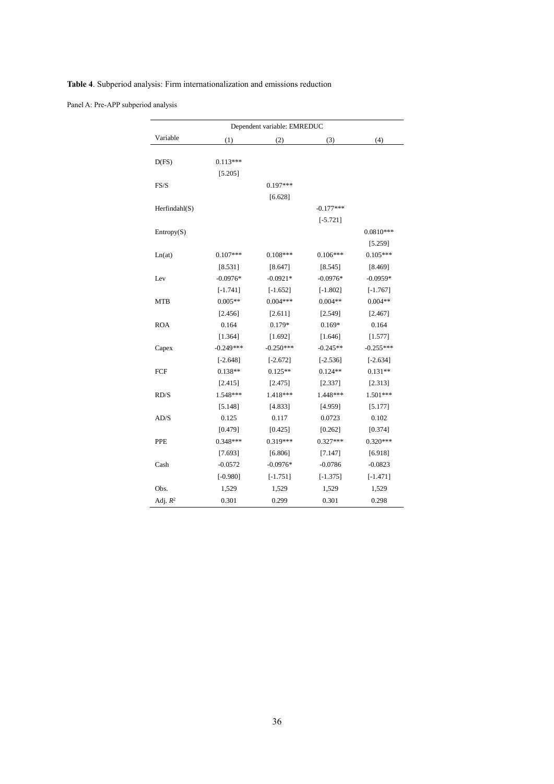|               |            | Dependent variable: EMREDUC |             |             |
|---------------|------------|-----------------------------|-------------|-------------|
| Variable      | (1)        | (2)                         | (3)         | (4)         |
| D(FS)         | $0.113***$ |                             |             |             |
|               | [5.205]    |                             |             |             |
| FS/S          |            | $0.197***$                  |             |             |
|               |            | [6.628]                     |             |             |
| Herfindahl(S) |            |                             | $-0.177***$ |             |
|               |            |                             | $[-5.721]$  |             |
| Entropy(S)    |            |                             |             | $0.0810***$ |
|               |            |                             |             | [5.259]     |
| Ln(at)        | $0.107***$ | $0.108***$                  | $0.106***$  | $0.105***$  |
|               | [8.531]    | [8.647]                     | [8.545]     | [8.469]     |
| Lev           | $-0.0976*$ | $-0.0921*$                  | $-0.0976*$  | $-0.0959*$  |
|               | $[-1.741]$ | $[-1.652]$                  | $[-1.802]$  | $[-1.767]$  |
| <b>MTB</b>    | $0.005**$  | $0.004***$                  | $0.004**$   | $0.004**$   |
|               | [2.456]    | [2.611]                     | [2.549]     | [2.467]     |
| <b>ROA</b>    | 0.164      | $0.179*$                    | $0.169*$    | 0.164       |
|               | [1.364]    | [1.692]                     | [1.646]     | [1.577]     |

Capex -0.249\*\*\* -0.250\*\*\* -0.245\*\* -0.245\*\* -0.255\*\*\*

 $\begin{array}{cccc} \text{FCF} & 0.138^{**} & 0.125^{**} & 0.124^{**} & 0.131^{**} \end{array}$ 

RD/S 1.548\*\*\* 1.418\*\*\* 1.448\*\*\* 1.501\*\*\*

AD/S 0.125 0.117 0.0723 0.102

PPE 0.348\*\*\* 0.319\*\*\* 0.327\*\*\* 0.327\*\*\* 0.320\*\*\*

Cash -0.0572 -0.0976\* -0.0786 -0.0823

Obs. 1,529 1,529 1,529 1,529

<sup>2</sup> 0.301 0.299 0.301 0.298

Adj. *R*

 $[-2.648]$   $[-2.672]$   $[-2.536]$   $[-2.634]$ 

 $[2.415]$   $[2.475]$   $[2.337]$   $[2.313]$ 

[5.148] [4.833] [4.959] [5.177]

 $[0.479]$   $[0.425]$   $[0.262]$   $[0.374]$ 

 $[7.693]$   $[6.806]$   $[7.147]$   $[6.918]$ 

 $[-0.980] \qquad \qquad [-1.751] \qquad \qquad [-1.375] \qquad \qquad [-1.471]$ 

**Table 4**. Subperiod analysis: Firm internationalization and emissions reduction

Panel /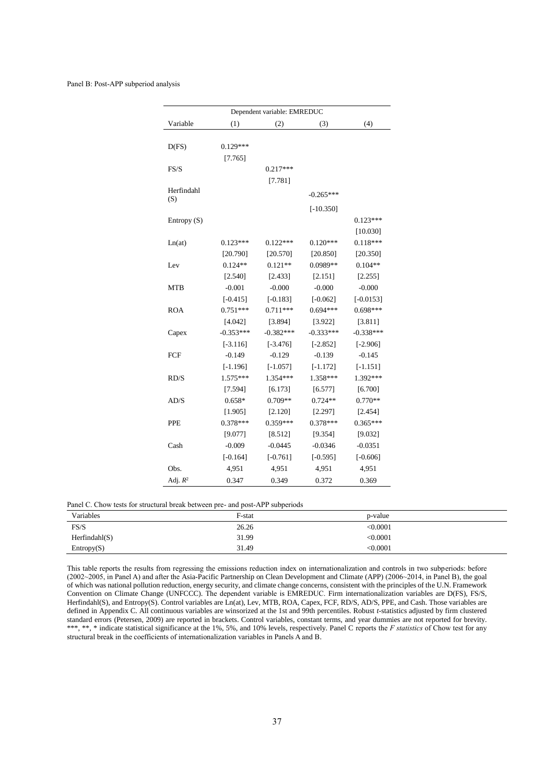#### Panel B: Post-APP subperiod analysis

|                                      | Dependent variable: EMREDUC |             |             |             |  |  |  |  |  |  |  |
|--------------------------------------|-----------------------------|-------------|-------------|-------------|--|--|--|--|--|--|--|
| Variable<br>(3)<br>(4)<br>(1)<br>(2) |                             |             |             |             |  |  |  |  |  |  |  |
|                                      |                             |             |             |             |  |  |  |  |  |  |  |
| D(FS)                                | $0.129***$                  |             |             |             |  |  |  |  |  |  |  |
|                                      | [7.765]                     |             |             |             |  |  |  |  |  |  |  |
| FS/S                                 |                             | $0.217***$  |             |             |  |  |  |  |  |  |  |
|                                      |                             | [7.781]     |             |             |  |  |  |  |  |  |  |
| Herfindahl                           |                             |             | $-0.265***$ |             |  |  |  |  |  |  |  |
| (S)                                  |                             |             | $[-10.350]$ |             |  |  |  |  |  |  |  |
| Entropy $(S)$                        |                             |             |             | $0.123***$  |  |  |  |  |  |  |  |
|                                      |                             |             |             | [10.030]    |  |  |  |  |  |  |  |
| Ln(at)                               | $0.123***$                  | $0.122***$  | $0.120***$  | $0.118***$  |  |  |  |  |  |  |  |
|                                      | [20.790]                    | [20.570]    | [20.850]    | [20.350]    |  |  |  |  |  |  |  |
| Lev                                  | $0.124**$                   | $0.121**$   | 0.0989**    | $0.104**$   |  |  |  |  |  |  |  |
|                                      | [2.540]                     | [2.433]     | [2.151]     | [2.255]     |  |  |  |  |  |  |  |
| MTB                                  | $-0.001$                    | $-0.000$    | $-0.000$    | $-0.000$    |  |  |  |  |  |  |  |
|                                      | $[-0.415]$                  | $[-0.183]$  | $[-0.062]$  | $[-0.0153]$ |  |  |  |  |  |  |  |
| <b>ROA</b>                           | $0.751***$                  | $0.711***$  | $0.694***$  | $0.698***$  |  |  |  |  |  |  |  |
|                                      | [4.042]                     | [3.894]     | [3.922]     | [3.811]     |  |  |  |  |  |  |  |
| Capex                                | $-0.353***$                 | $-0.382***$ | $-0.333***$ | $-0.338***$ |  |  |  |  |  |  |  |
|                                      | $[-3.116]$                  | $[-3.476]$  | $[-2.852]$  | $[-2.906]$  |  |  |  |  |  |  |  |
| FCF                                  | $-0.149$                    | $-0.129$    | $-0.139$    | $-0.145$    |  |  |  |  |  |  |  |
|                                      | $[-1.196]$                  | $[-1.057]$  | $[-1.172]$  | $[-1.151]$  |  |  |  |  |  |  |  |
| RD/S                                 | 1.575***                    | 1.354***    | 1.358***    | 1.392 ***   |  |  |  |  |  |  |  |
|                                      | [7.594]                     | [6.173]     | [6.577]     | [6.700]     |  |  |  |  |  |  |  |
| AD/S                                 | $0.658*$                    | $0.709**$   | $0.724**$   | $0.770**$   |  |  |  |  |  |  |  |
|                                      | [1.905]                     | [2.120]     | [2.297]     | [2.454]     |  |  |  |  |  |  |  |
| <b>PPE</b>                           | $0.378***$                  | $0.359***$  | $0.378***$  | $0.365***$  |  |  |  |  |  |  |  |
|                                      | [9.077]                     | [8.512]     | [9.354]     | [9.032]     |  |  |  |  |  |  |  |
| Cash                                 | $-0.009$                    | $-0.0445$   | $-0.0346$   | $-0.0351$   |  |  |  |  |  |  |  |
|                                      | $[-0.164]$                  | $[-0.761]$  | $[-0.595]$  | $[-0.606]$  |  |  |  |  |  |  |  |
| Obs.                                 | 4,951                       | 4,951       | 4,951       | 4,951       |  |  |  |  |  |  |  |
| Adj. $R^2$                           | 0.347                       | 0.349       | 0.372       | 0.369       |  |  |  |  |  |  |  |

|  | Panel C. Chow tests for structural break between pre- and post-APP subperiods |  |  |  |  |  |
|--|-------------------------------------------------------------------------------|--|--|--|--|--|
|  |                                                                               |  |  |  |  |  |

| Variables     | F-stat | p-value  |  |
|---------------|--------|----------|--|
| FS/S          | 26.26  | < 0.0001 |  |
| Herfindahl(S) | 31.99  | < 0.0001 |  |
| Entropy(S)    | 31.49  | < 0.0001 |  |

This table reports the results from regressing the emissions reduction index on internationalization and controls in two subperiods: before (2002~2005, in Panel A) and after the Asia-Pacific Partnership on Clean Development and Climate (APP) (2006~2014, in Panel B), the goal of which was national pollution reduction, energy security, and climate change concerns, consistent with the principles of the U.N. Framework Convention on Climate Change (UNFCCC). The dependent variable is EMREDUC. Firm internationalization variables are D(FS), FS/S, Herfindahl(S), and Entropy(S). Control variables are Ln(at), Lev, MTB, ROA, Capex, FCF, RD/S, AD/S, PPE, and Cash. Those variables are defined in Appendix C. All continuous variables are winsorized at the 1st and 99th percentiles. Robust *t*-statistics adjusted by firm clustered standard errors (Petersen, 2009) are reported in brackets. Control variables, constant terms, and year dummies are not reported for brevity. \*\*\*, \*\*, \*indicate statistical significance at the 1%, 5%, and 10% levels, respectively. Panel C reports the *F statistics* of Chow test for any structural break in the coefficients of internationalization variables in Panels A and B.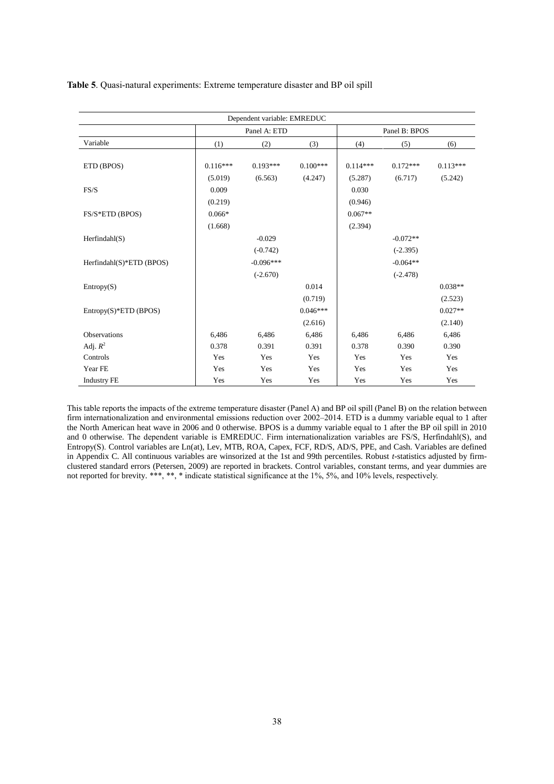| Dependent variable: EMREDUC |                       |                                         |                       |                       |                                        |                       |
|-----------------------------|-----------------------|-----------------------------------------|-----------------------|-----------------------|----------------------------------------|-----------------------|
|                             | Panel A: ETD          |                                         |                       | Panel B: BPOS         |                                        |                       |
| Variable                    | (1)                   | (2)                                     | (3)                   | (4)                   | (5)                                    | (6)                   |
| ETD (BPOS)                  | $0.116***$<br>(5.019) | $0.193***$<br>(6.563)                   | $0.100***$<br>(4.247) | $0.114***$<br>(5.287) | $0.172***$<br>(6.717)                  | $0.113***$<br>(5.242) |
| FS/S                        | 0.009<br>(0.219)      |                                         |                       | 0.030<br>(0.946)      |                                        |                       |
| FS/S*ETD (BPOS)             | $0.066*$<br>(1.668)   |                                         |                       | $0.067**$<br>(2.394)  |                                        |                       |
| Herfindahl(S)               |                       | $-0.029$                                |                       |                       | $-0.072**$                             |                       |
| Herfindahl(S)*ETD (BPOS)    |                       | $(-0.742)$<br>$-0.096***$<br>$(-2.670)$ |                       |                       | $(-2.395)$<br>$-0.064**$<br>$(-2.478)$ |                       |
| Entropy(S)                  |                       |                                         | 0.014<br>(0.719)      |                       |                                        | $0.038**$<br>(2.523)  |
| $Entropy(S)*ETD (BPOS)$     |                       |                                         | $0.046***$<br>(2.616) |                       |                                        | $0.027**$<br>(2.140)  |
| <b>Observations</b>         | 6,486                 | 6,486                                   | 6,486                 | 6,486                 | 6,486                                  | 6,486                 |
| Adj. $R^2$                  | 0.378                 | 0.391                                   | 0.391                 | 0.378                 | 0.390                                  | 0.390                 |
| Controls                    | Yes                   | Yes                                     | Yes                   | Yes                   | Yes                                    | Yes                   |
| Year FE                     | Yes                   | Yes                                     | Yes                   | Yes                   | Yes                                    | Yes                   |
| <b>Industry FE</b>          | Yes                   | Yes                                     | Yes                   | Yes                   | Yes                                    | Yes                   |

This table reports the impacts of the extreme temperature disaster (Panel A) and BP oil spill (Panel B) on the relation between firm internationalization and environmental emissions reduction over 2002–2014. ETD is a dummy variable equal to 1 after the North American heat wave in 2006 and 0 otherwise. BPOS is a dummy variable equal to 1 after the BP oil spill in 2010 and 0 otherwise. The dependent variable is EMREDUC. Firm internationalization variables are FS/S, Herfindahl(S), and Entropy(S). Control variables are Ln(at), Lev, MTB, ROA, Capex, FCF, RD/S, AD/S, PPE, and Cash. Variables are defined in Appendix C. All continuous variables are winsorized at the 1st and 99th percentiles. Robust *t-*statistics adjusted by firmclustered standard errors (Petersen, 2009) are reported in brackets. Control variables, constant terms, and year dummies are not reported for brevity. \*\*\*, \*\*, \* indicate statistical significance at the 1%, 5%, and 10% levels, respectively.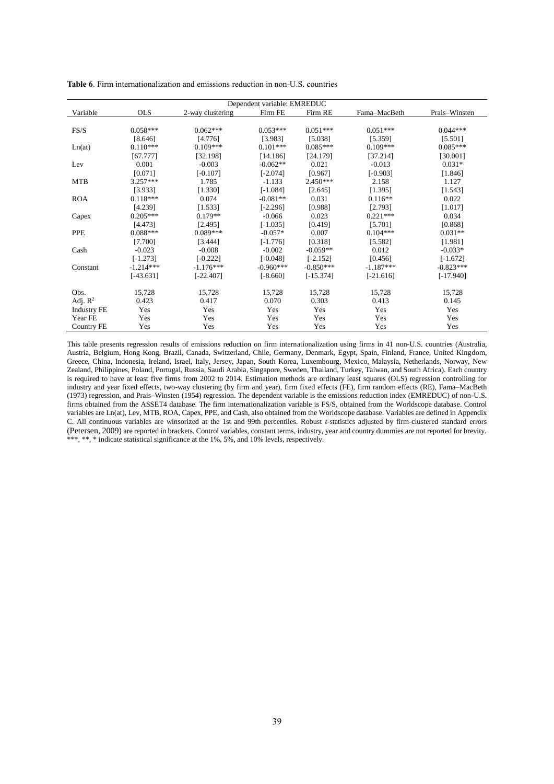| Dependent variable: EMREDUC |             |                  |             |             |              |               |  |
|-----------------------------|-------------|------------------|-------------|-------------|--------------|---------------|--|
| Variable                    | <b>OLS</b>  | 2-way clustering | Firm FE     | Firm RE     | Fama-MacBeth | Prais-Winsten |  |
|                             |             |                  |             |             |              |               |  |
| FS/S                        | $0.058***$  | $0.062***$       | $0.053***$  | $0.051***$  | $0.051***$   | $0.044***$    |  |
|                             | [8.646]     | [4.776]          | [3.983]     | [5.038]     | [5.359]      | [5.501]       |  |
| Ln(at)                      | $0.110***$  | $0.109***$       | $0.101***$  | $0.085***$  | $0.109***$   | $0.085***$    |  |
|                             | [67.777]    | [32.198]         | [14.186]    | [24.179]    | [37.214]     | [30.001]      |  |
| Lev                         | 0.001       | $-0.003$         | $-0.062**$  | 0.021       | $-0.013$     | $0.031*$      |  |
|                             | [0.071]     | $[-0.107]$       | $[-2.074]$  | [0.967]     | $[-0.903]$   | [1.846]       |  |
| <b>MTB</b>                  | $3.257***$  | 1.785            | $-1.133$    | $2.450***$  | 2.158        | 1.127         |  |
|                             | [3.933]     | [1.330]          | $[-1.084]$  | [2.645]     | [1.395]      | [1.543]       |  |
| <b>ROA</b>                  | $0.118***$  | 0.074            | $-0.081**$  | 0.031       | $0.116**$    | 0.022         |  |
|                             | [4.239]     | [1.533]          | $[-2.296]$  | [0.988]     | [2.793]      | [1.017]       |  |
| Capex                       | $0.205***$  | $0.179**$        | $-0.066$    | 0.023       | $0.221***$   | 0.034         |  |
|                             | [4.473]     | [2.495]          | $[-1.035]$  | [0.419]     | [5.701]      | [0.868]       |  |
| <b>PPE</b>                  | $0.088***$  | $0.089***$       | $-0.057*$   | 0.007       | $0.104***$   | $0.031**$     |  |
|                             | [7.700]     | [3.444]          | $[-1.776]$  | [0.318]     | [5.582]      | [1.981]       |  |
| Cash                        | $-0.023$    | $-0.008$         | $-0.002$    | $-0.059**$  | 0.012        | $-0.033*$     |  |
|                             | $[-1.273]$  | $[-0.222]$       | $[-0.048]$  | $[-2.152]$  | [0.456]      | $[-1.672]$    |  |
| Constant                    | $-1.214***$ | $-1.176***$      | $-0.960***$ | $-0.850***$ | $-1.187***$  | $-0.823***$   |  |
|                             | $[-43.631]$ | $[-22.407]$      | $[-8.660]$  | $[-15.374]$ | $[-21.616]$  | $[-17.940]$   |  |
| Obs.                        | 15,728      | 15,728           | 15,728      | 15,728      | 15,728       | 15,728        |  |
| Adj. $\mathbb{R}^2$         | 0.423       | 0.417            | 0.070       | 0.303       | 0.413        | 0.145         |  |
| <b>Industry FE</b>          | Yes         | Yes              | Yes         | Yes         | Yes          | Yes           |  |
| Year FE                     | Yes         | Yes              | Yes         | Yes         | Yes          | Yes           |  |
| Country FE                  | Yes         | Yes              | Yes         | Yes         | Yes          | Yes           |  |

**Table 6**. Firm internationalization and emissions reduction in non-U.S. countries

This table presents regression results of emissions reduction on firm internationalization using firms in 41 non-U.S. countries (Australia, Austria, Belgium, Hong Kong, Brazil, Canada, Switzerland, Chile, Germany, Denmark, Egypt, Spain, Finland, France, United Kingdom, Greece, China, Indonesia, Ireland, Israel, Italy, Jersey, Japan, South Korea, Luxembourg, Mexico, Malaysia, Netherlands, Norway, New Zealand, Philippines, Poland, Portugal, Russia, Saudi Arabia, Singapore, Sweden, Thailand, Turkey, Taiwan, and South Africa). Each country is required to have at least five firms from 2002 to 2014. Estimation methods are ordinary least squares (OLS) regression controlling for industry and year fixed effects, two-way clustering (by firm and year), firm fixed effects (FE), firm random effects (RE), Fama–MacBeth (1973) regression, and Prais–Winsten (1954) regression. The dependent variable is the emissions reduction index (EMREDUC) of non-U.S. firms obtained from the ASSET4 database. The firm internationalization variable is FS/S, obtained from the Worldscope database. Control variables are Ln(at), Lev, MTB, ROA, Capex, PPE, and Cash, also obtained from the Worldscope database. Variables are defined in Appendix C. All continuous variables are winsorized at the 1st and 99th percentiles. Robust *t*-statistics adjusted by firm-clustered standard errors (Petersen, 2009) are reported in brackets. Control variables, constant terms, industry, year and country dummies are not reported for brevity. \*\*\*, \*\*, \* indicate statistical significance at the 1%, 5%, and 10% levels, respectively.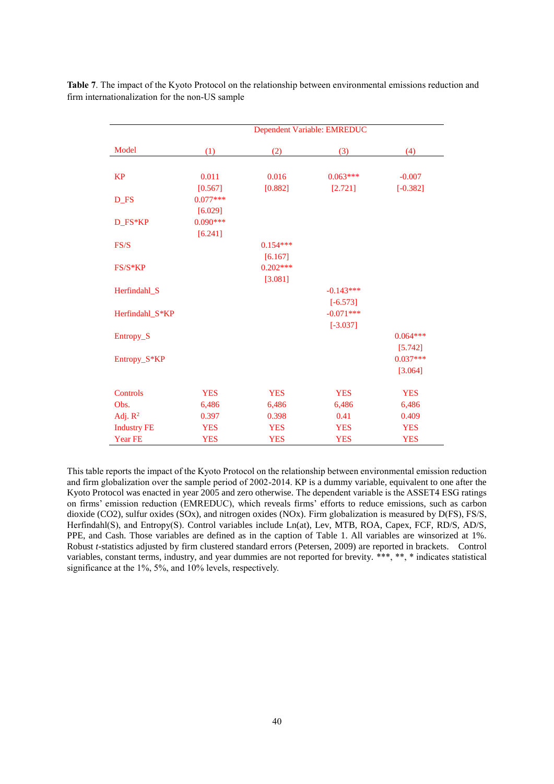|                    | Dependent Variable: EMREDUC |            |             |            |  |
|--------------------|-----------------------------|------------|-------------|------------|--|
| Model              | (1)                         | (2)        | (3)         | (4)        |  |
|                    |                             |            |             |            |  |
| <b>KP</b>          | 0.011                       | 0.016      | $0.063***$  | $-0.007$   |  |
|                    | [0.567]                     | [0.882]    | [2.721]     | $[-0.382]$ |  |
| D_FS               | $0.077***$                  |            |             |            |  |
|                    | [6.029]                     |            |             |            |  |
| D_FS*KP            | $0.090***$                  |            |             |            |  |
|                    | [6.241]                     |            |             |            |  |
| FS/S               |                             | $0.154***$ |             |            |  |
|                    |                             | [6.167]    |             |            |  |
| $FS/S*KP$          |                             | $0.202***$ |             |            |  |
|                    |                             | [3.081]    |             |            |  |
| Herfindahl_S       |                             |            | $-0.143***$ |            |  |
|                    |                             |            | $[-6.573]$  |            |  |
| Herfindahl_S*KP    |                             |            | $-0.071***$ |            |  |
|                    |                             |            | $[-3.037]$  |            |  |
| Entropy_S          |                             |            |             | $0.064***$ |  |
|                    |                             |            |             | [5.742]    |  |
| Entropy_S*KP       |                             |            |             | $0.037***$ |  |
|                    |                             |            |             | [3.064]    |  |
| Controls           | <b>YES</b>                  | <b>YES</b> | <b>YES</b>  | <b>YES</b> |  |
| Obs.               | 6,486                       | 6,486      | 6,486       | 6,486      |  |
| Adj. $R^2$         | 0.397                       | 0.398      | 0.41        | 0.409      |  |
| <b>Industry FE</b> | <b>YES</b>                  | <b>YES</b> | <b>YES</b>  | <b>YES</b> |  |
| Year FE            | <b>YES</b>                  | <b>YES</b> | <b>YES</b>  | <b>YES</b> |  |

**Table 7**. The impact of the Kyoto Protocol on the relationship between environmental emissions reduction and firm internationalization for the non-US sample

This table reports the impact of the Kyoto Protocol on the relationship between environmental emission reduction and firm globalization over the sample period of 2002-2014. KP is a dummy variable, equivalent to one after the Kyoto Protocol was enacted in year 2005 and zero otherwise. The dependent variable is the ASSET4 ESG ratings on firms' emission reduction (EMREDUC), which reveals firms' efforts to reduce emissions, such as carbon dioxide (CO2), sulfur oxides (SOx), and nitrogen oxides (NOx). Firm globalization is measured by D(FS), FS/S, Herfindahl(S), and Entropy(S). Control variables include Ln(at), Lev, MTB, ROA, Capex, FCF, RD/S, AD/S, PPE, and Cash. Those variables are defined as in the caption of Table 1. All variables are winsorized at 1%. Robust *t*-statistics adjusted by firm clustered standard errors (Petersen, 2009) are reported in brackets. Control variables, constant terms, industry, and year dummies are not reported for brevity. \*\*\*, \*\*, \* indicates statistical significance at the 1%, 5%, and 10% levels, respectively.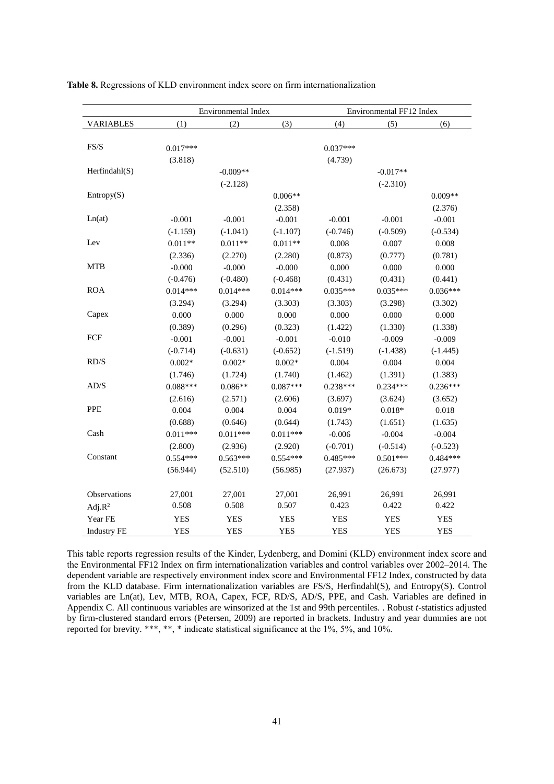|                    | Environmental Index |            |            | Environmental FF12 Index |            |            |  |
|--------------------|---------------------|------------|------------|--------------------------|------------|------------|--|
| <b>VARIABLES</b>   | (1)                 | (2)        | (3)        | (4)                      | (5)        | (6)        |  |
|                    |                     |            |            |                          |            |            |  |
| FS/S               | $0.017***$          |            |            | $0.037***$               |            |            |  |
|                    | (3.818)             |            |            | (4.739)                  |            |            |  |
| Herfindahl(S)      |                     | $-0.009**$ |            |                          | $-0.017**$ |            |  |
|                    |                     | $(-2.128)$ |            |                          | $(-2.310)$ |            |  |
| Entropy(S)         |                     |            | $0.006**$  |                          |            | $0.009**$  |  |
|                    |                     |            | (2.358)    |                          |            | (2.376)    |  |
| Ln(at)             | $-0.001$            | $-0.001$   | $-0.001$   | $-0.001$                 | $-0.001$   | $-0.001$   |  |
|                    | $(-1.159)$          | $(-1.041)$ | $(-1.107)$ | $(-0.746)$               | $(-0.509)$ | $(-0.534)$ |  |
| Lev                | $0.011**$           | $0.011**$  | $0.011**$  | 0.008                    | 0.007      | 0.008      |  |
|                    | (2.336)             | (2.270)    | (2.280)    | (0.873)                  | (0.777)    | (0.781)    |  |
| <b>MTB</b>         | $-0.000$            | $-0.000$   | $-0.000$   | 0.000                    | 0.000      | 0.000      |  |
|                    | $(-0.476)$          | $(-0.480)$ | $(-0.468)$ | (0.431)                  | (0.431)    | (0.441)    |  |
| <b>ROA</b>         | $0.014***$          | $0.014***$ | $0.014***$ | $0.035***$               | $0.035***$ | $0.036***$ |  |
|                    | (3.294)             | (3.294)    | (3.303)    | (3.303)                  | (3.298)    | (3.302)    |  |
| Capex              | 0.000               | 0.000      | 0.000      | 0.000                    | 0.000      | 0.000      |  |
|                    | (0.389)             | (0.296)    | (0.323)    | (1.422)                  | (1.330)    | (1.338)    |  |
| FCF                | $-0.001$            | $-0.001$   | $-0.001$   | $-0.010$                 | $-0.009$   | $-0.009$   |  |
|                    | $(-0.714)$          | $(-0.631)$ | $(-0.652)$ | $(-1.519)$               | $(-1.438)$ | $(-1.445)$ |  |
| RD/S               | $0.002*$            | $0.002*$   | $0.002*$   | 0.004                    | 0.004      | 0.004      |  |
|                    | (1.746)             | (1.724)    | (1.740)    | (1.462)                  | (1.391)    | (1.383)    |  |
| AD/S               | $0.088***$          | $0.086**$  | $0.087***$ | $0.238***$               | $0.234***$ | $0.236***$ |  |
|                    | (2.616)             | (2.571)    | (2.606)    | (3.697)                  | (3.624)    | (3.652)    |  |
| PPE                | 0.004               | 0.004      | 0.004      | $0.019*$                 | $0.018*$   | 0.018      |  |
|                    | (0.688)             | (0.646)    | (0.644)    | (1.743)                  | (1.651)    | (1.635)    |  |
| Cash               | $0.011***$          | $0.011***$ | $0.011***$ | $-0.006$                 | $-0.004$   | $-0.004$   |  |
|                    | (2.800)             | (2.936)    | (2.920)    | $(-0.701)$               | $(-0.514)$ | $(-0.523)$ |  |
| Constant           | $0.554***$          | $0.563***$ | $0.554***$ | $0.485***$               | $0.501***$ | $0.484***$ |  |
|                    | (56.944)            | (52.510)   | (56.985)   | (27.937)                 | (26.673)   | (27.977)   |  |
|                    |                     |            |            |                          |            |            |  |
| Observations       | 27,001              | 27,001     | 27,001     | 26,991                   | 26,991     | 26,991     |  |
| Adj. $R^2$         | 0.508               | 0.508      | 0.507      | 0.423                    | 0.422      | 0.422      |  |
| Year FE            | <b>YES</b>          | <b>YES</b> | <b>YES</b> | <b>YES</b>               | <b>YES</b> | <b>YES</b> |  |
| <b>Industry FE</b> | <b>YES</b>          | <b>YES</b> | <b>YES</b> | <b>YES</b>               | <b>YES</b> | <b>YES</b> |  |

**Table 8.** Regressions of KLD environment index score on firm internationalization

This table reports regression results of the Kinder, Lydenberg, and Domini (KLD) environment index score and the Environmental FF12 Index on firm internationalization variables and control variables over 2002–2014. The dependent variable are respectively environment index score and Environmental FF12 Index, constructed by data from the KLD database. Firm internationalization variables are FS/S, Herfindahl(S), and Entropy(S). Control variables are Ln(at), Lev, MTB, ROA, Capex, FCF, RD/S, AD/S, PPE, and Cash. Variables are defined in Appendix C. All continuous variables are winsorized at the 1st and 99th percentiles. . Robust *t*-statistics adjusted by firm-clustered standard errors (Petersen, 2009) are reported in brackets. Industry and year dummies are not reported for brevity. \*\*\*, \*\*, \* indicate statistical significance at the 1%, 5%, and 10%.